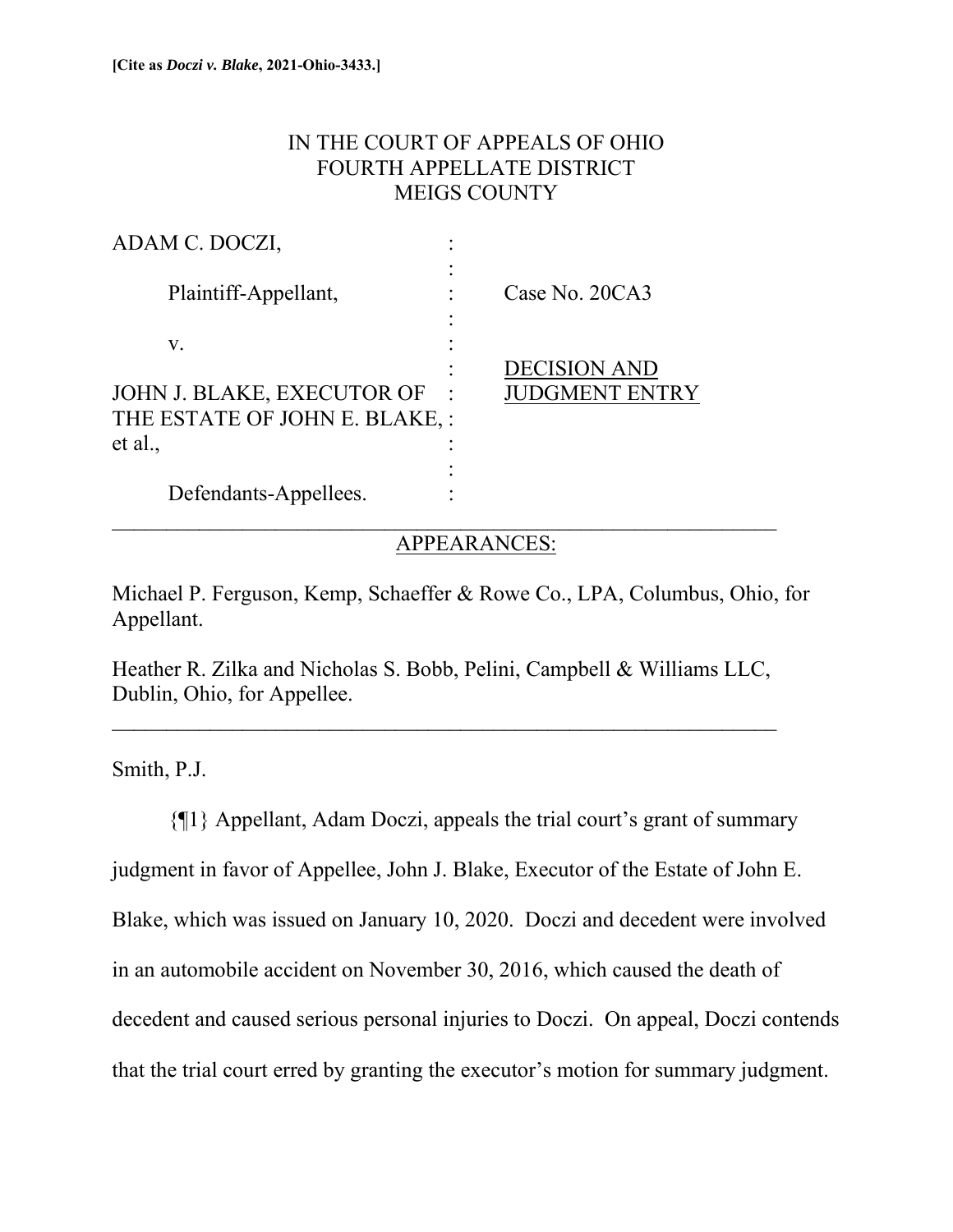## IN THE COURT OF APPEALS OF OHIO FOURTH APPELLATE DISTRICT MEIGS COUNTY

| ADAM C. DOCZI,                 |                       |
|--------------------------------|-----------------------|
| Plaintiff-Appellant,           | Case No. 20CA3        |
| V.                             |                       |
|                                | <b>DECISION AND</b>   |
| JOHN J. BLAKE, EXECUTOR OF     | <b>JUDGMENT ENTRY</b> |
| THE ESTATE OF JOHN E. BLAKE, : |                       |
| et al.,                        |                       |
|                                |                       |
| Defendants-Appellees.          |                       |
|                                |                       |

### APPEARANCES:

Michael P. Ferguson, Kemp, Schaeffer & Rowe Co., LPA, Columbus, Ohio, for Appellant.

Heather R. Zilka and Nicholas S. Bobb, Pelini, Campbell & Williams LLC, Dublin, Ohio, for Appellee.

 $\mathcal{L}_\text{max}$  , and the contribution of the contribution of the contribution of the contribution of the contribution of the contribution of the contribution of the contribution of the contribution of the contribution of t

Smith, P.J.

{¶1} Appellant, Adam Doczi, appeals the trial court's grant of summary judgment in favor of Appellee, John J. Blake, Executor of the Estate of John E. Blake, which was issued on January 10, 2020. Doczi and decedent were involved in an automobile accident on November 30, 2016, which caused the death of decedent and caused serious personal injuries to Doczi. On appeal, Doczi contends that the trial court erred by granting the executor's motion for summary judgment.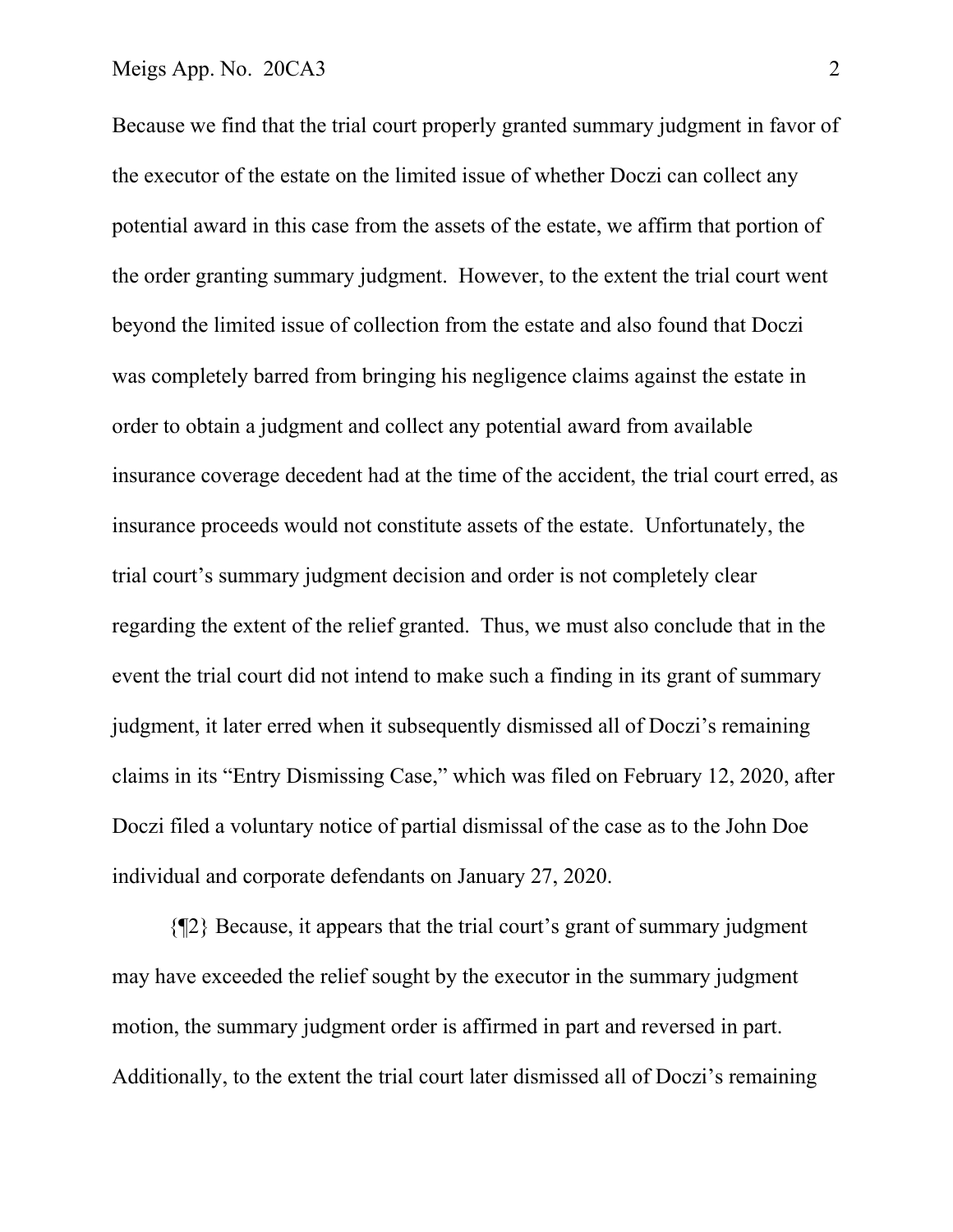#### Meigs App. No. 20CA3 2

Because we find that the trial court properly granted summary judgment in favor of the executor of the estate on the limited issue of whether Doczi can collect any potential award in this case from the assets of the estate, we affirm that portion of the order granting summary judgment. However, to the extent the trial court went beyond the limited issue of collection from the estate and also found that Doczi was completely barred from bringing his negligence claims against the estate in order to obtain a judgment and collect any potential award from available insurance coverage decedent had at the time of the accident, the trial court erred, as insurance proceeds would not constitute assets of the estate. Unfortunately, the trial court's summary judgment decision and order is not completely clear regarding the extent of the relief granted. Thus, we must also conclude that in the event the trial court did not intend to make such a finding in its grant of summary judgment, it later erred when it subsequently dismissed all of Doczi's remaining claims in its "Entry Dismissing Case," which was filed on February 12, 2020, after Doczi filed a voluntary notice of partial dismissal of the case as to the John Doe individual and corporate defendants on January 27, 2020.

{¶2} Because, it appears that the trial court's grant of summary judgment may have exceeded the relief sought by the executor in the summary judgment motion, the summary judgment order is affirmed in part and reversed in part. Additionally, to the extent the trial court later dismissed all of Doczi's remaining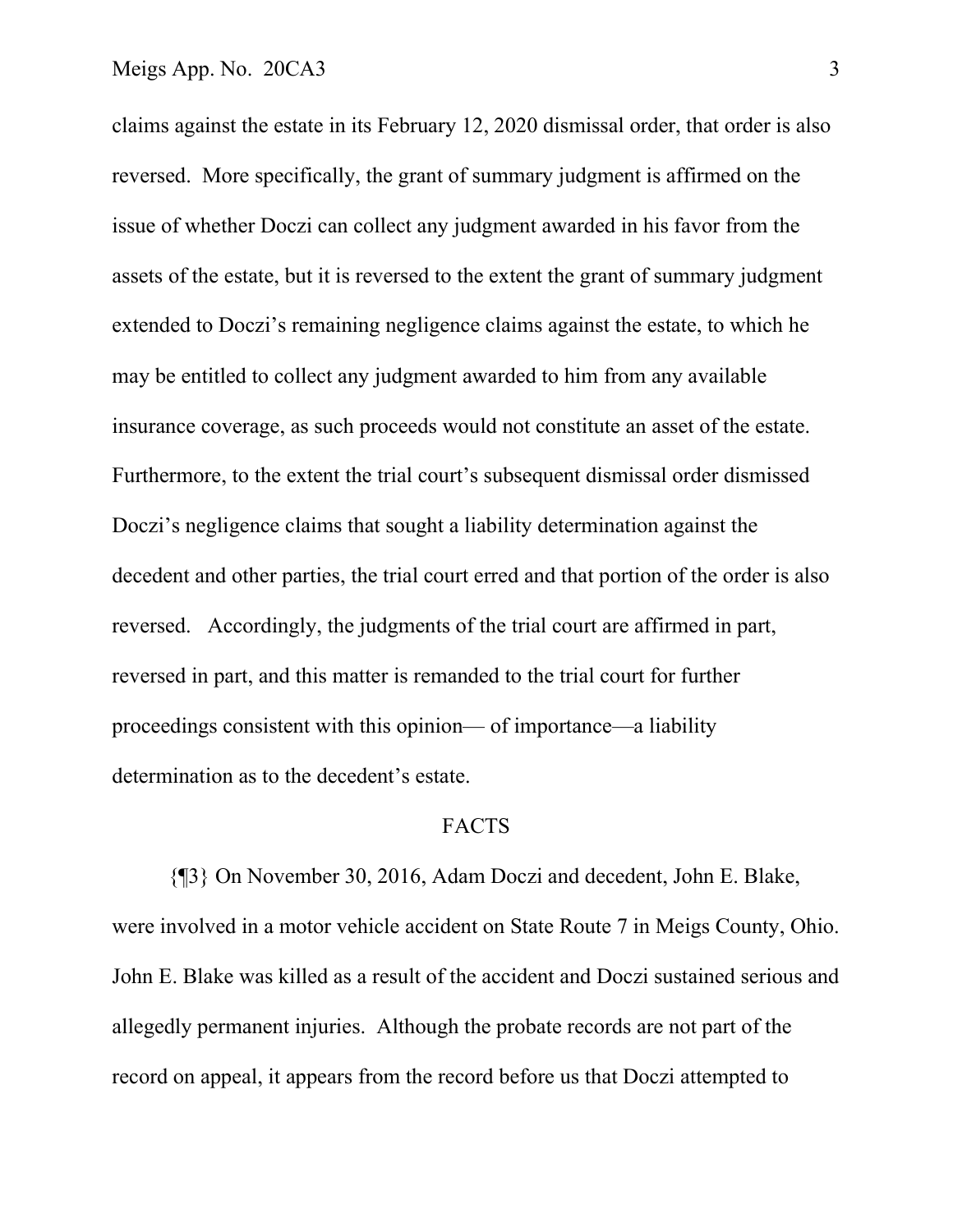claims against the estate in its February 12, 2020 dismissal order, that order is also reversed. More specifically, the grant of summary judgment is affirmed on the issue of whether Doczi can collect any judgment awarded in his favor from the assets of the estate, but it is reversed to the extent the grant of summary judgment extended to Doczi's remaining negligence claims against the estate, to which he may be entitled to collect any judgment awarded to him from any available insurance coverage, as such proceeds would not constitute an asset of the estate. Furthermore, to the extent the trial court's subsequent dismissal order dismissed Doczi's negligence claims that sought a liability determination against the decedent and other parties, the trial court erred and that portion of the order is also reversed. Accordingly, the judgments of the trial court are affirmed in part, reversed in part, and this matter is remanded to the trial court for further proceedings consistent with this opinion— of importance—a liability determination as to the decedent's estate.

#### FACTS

 {¶3} On November 30, 2016, Adam Doczi and decedent, John E. Blake, were involved in a motor vehicle accident on State Route 7 in Meigs County, Ohio. John E. Blake was killed as a result of the accident and Doczi sustained serious and allegedly permanent injuries. Although the probate records are not part of the record on appeal, it appears from the record before us that Doczi attempted to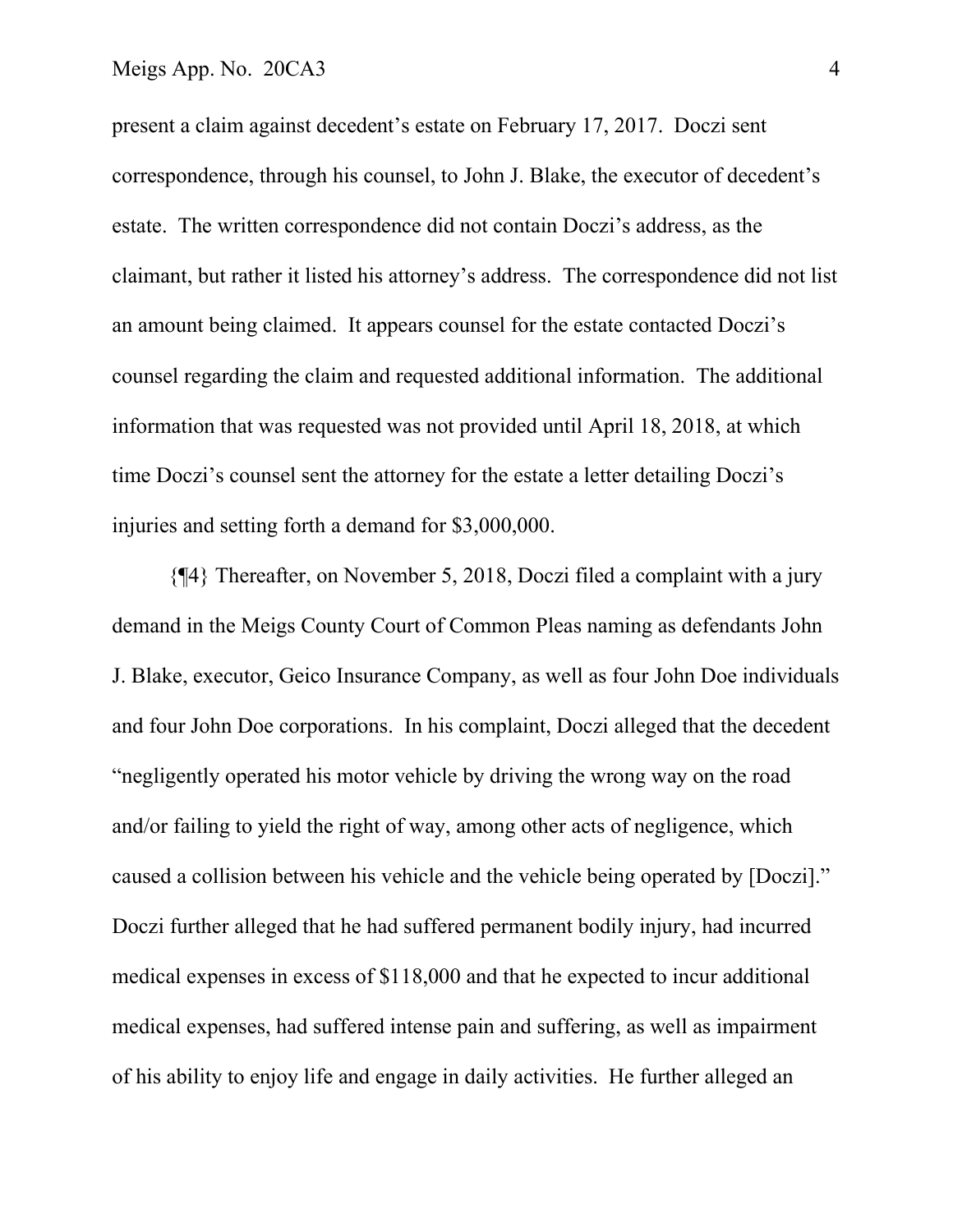#### Meigs App. No. 20CA3 4

present a claim against decedent's estate on February 17, 2017. Doczi sent correspondence, through his counsel, to John J. Blake, the executor of decedent's estate. The written correspondence did not contain Doczi's address, as the claimant, but rather it listed his attorney's address. The correspondence did not list an amount being claimed. It appears counsel for the estate contacted Doczi's counsel regarding the claim and requested additional information. The additional information that was requested was not provided until April 18, 2018, at which time Doczi's counsel sent the attorney for the estate a letter detailing Doczi's injuries and setting forth a demand for \$3,000,000.

 {¶4} Thereafter, on November 5, 2018, Doczi filed a complaint with a jury demand in the Meigs County Court of Common Pleas naming as defendants John J. Blake, executor, Geico Insurance Company, as well as four John Doe individuals and four John Doe corporations. In his complaint, Doczi alleged that the decedent "negligently operated his motor vehicle by driving the wrong way on the road and/or failing to yield the right of way, among other acts of negligence, which caused a collision between his vehicle and the vehicle being operated by [Doczi]." Doczi further alleged that he had suffered permanent bodily injury, had incurred medical expenses in excess of \$118,000 and that he expected to incur additional medical expenses, had suffered intense pain and suffering, as well as impairment of his ability to enjoy life and engage in daily activities. He further alleged an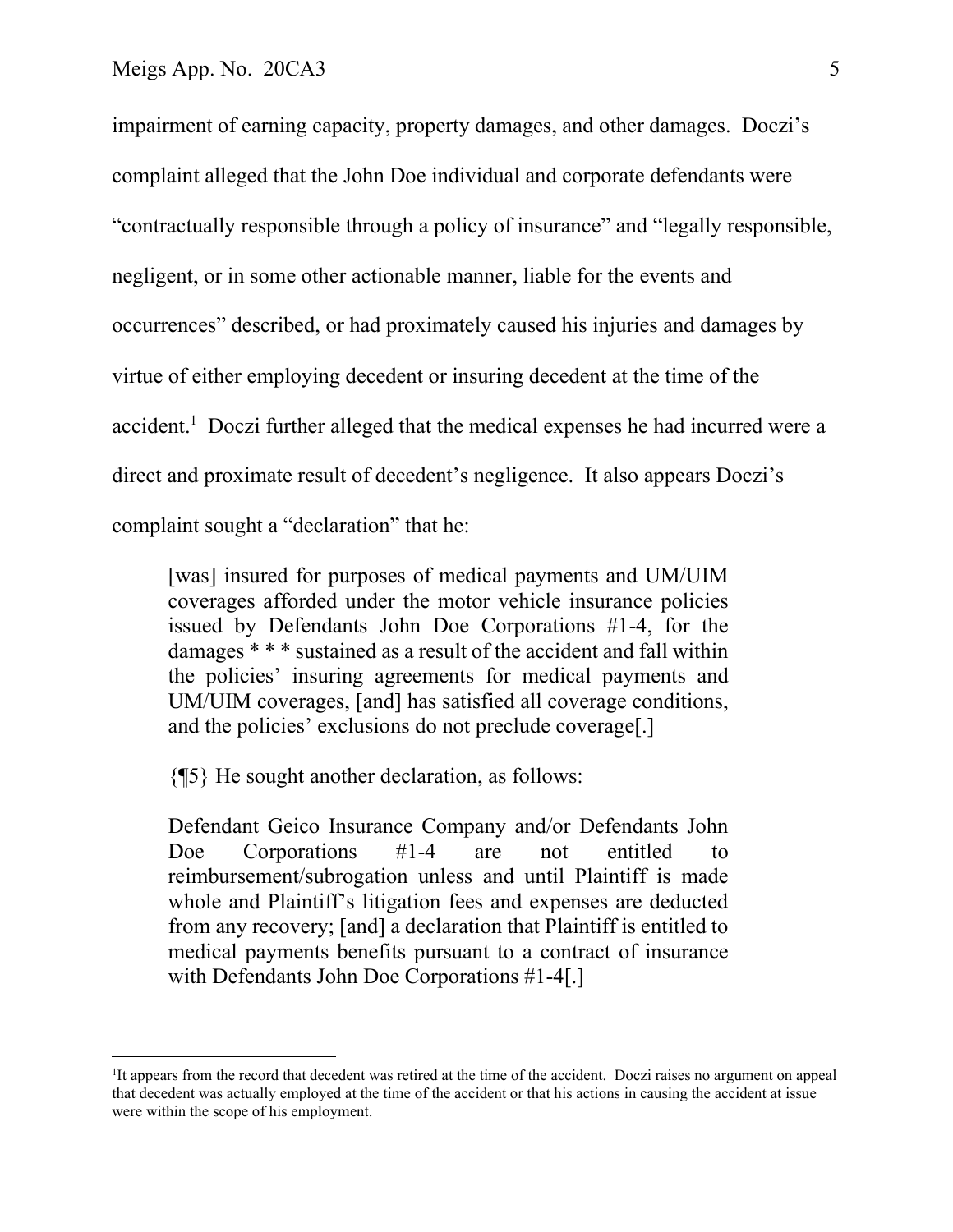impairment of earning capacity, property damages, and other damages. Doczi's complaint alleged that the John Doe individual and corporate defendants were "contractually responsible through a policy of insurance" and "legally responsible, negligent, or in some other actionable manner, liable for the events and occurrences" described, or had proximately caused his injuries and damages by virtue of either employing decedent or insuring decedent at the time of the accident.<sup>1</sup> Doczi further alleged that the medical expenses he had incurred were a direct and proximate result of decedent's negligence. It also appears Doczi's complaint sought a "declaration" that he:

[was] insured for purposes of medical payments and UM/UIM coverages afforded under the motor vehicle insurance policies issued by Defendants John Doe Corporations #1-4, for the damages \* \* \* sustained as a result of the accident and fall within the policies' insuring agreements for medical payments and UM/UIM coverages, [and] has satisfied all coverage conditions, and the policies' exclusions do not preclude coverage[.]

{¶5} He sought another declaration, as follows:

Defendant Geico Insurance Company and/or Defendants John Doe Corporations #1-4 are not entitled to reimbursement/subrogation unless and until Plaintiff is made whole and Plaintiff's litigation fees and expenses are deducted from any recovery; [and] a declaration that Plaintiff is entitled to medical payments benefits pursuant to a contract of insurance with Defendants John Doe Corporations #1-4[.]

<sup>&</sup>lt;sup>1</sup>It appears from the record that decedent was retired at the time of the accident. Doczi raises no argument on appeal that decedent was actually employed at the time of the accident or that his actions in causing the accident at issue were within the scope of his employment.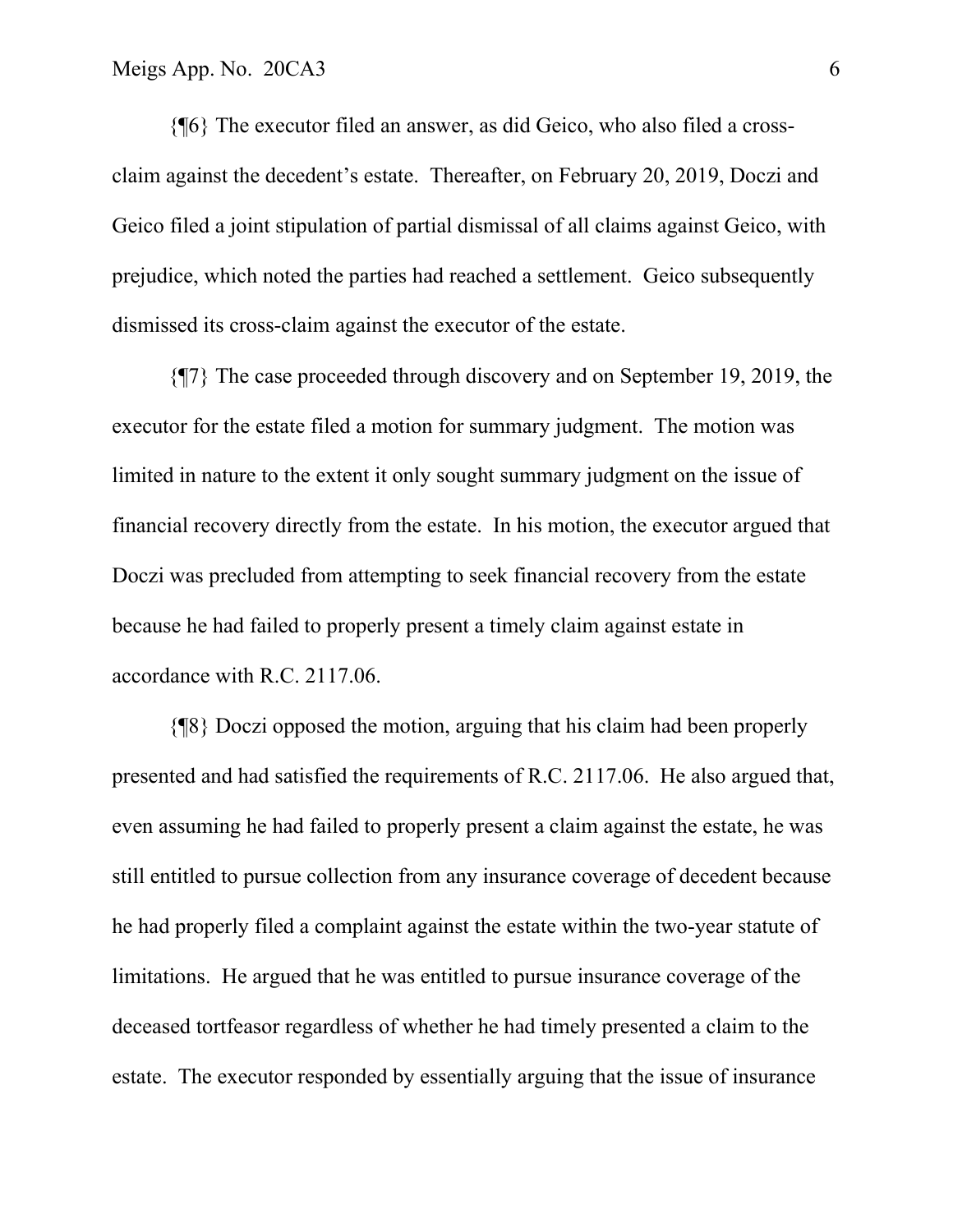{¶6} The executor filed an answer, as did Geico, who also filed a crossclaim against the decedent's estate. Thereafter, on February 20, 2019, Doczi and Geico filed a joint stipulation of partial dismissal of all claims against Geico, with prejudice, which noted the parties had reached a settlement. Geico subsequently dismissed its cross-claim against the executor of the estate.

 {¶7} The case proceeded through discovery and on September 19, 2019, the executor for the estate filed a motion for summary judgment. The motion was limited in nature to the extent it only sought summary judgment on the issue of financial recovery directly from the estate. In his motion, the executor argued that Doczi was precluded from attempting to seek financial recovery from the estate because he had failed to properly present a timely claim against estate in accordance with R.C. 2117.06.

 {¶8} Doczi opposed the motion, arguing that his claim had been properly presented and had satisfied the requirements of R.C. 2117.06. He also argued that, even assuming he had failed to properly present a claim against the estate, he was still entitled to pursue collection from any insurance coverage of decedent because he had properly filed a complaint against the estate within the two-year statute of limitations. He argued that he was entitled to pursue insurance coverage of the deceased tortfeasor regardless of whether he had timely presented a claim to the estate. The executor responded by essentially arguing that the issue of insurance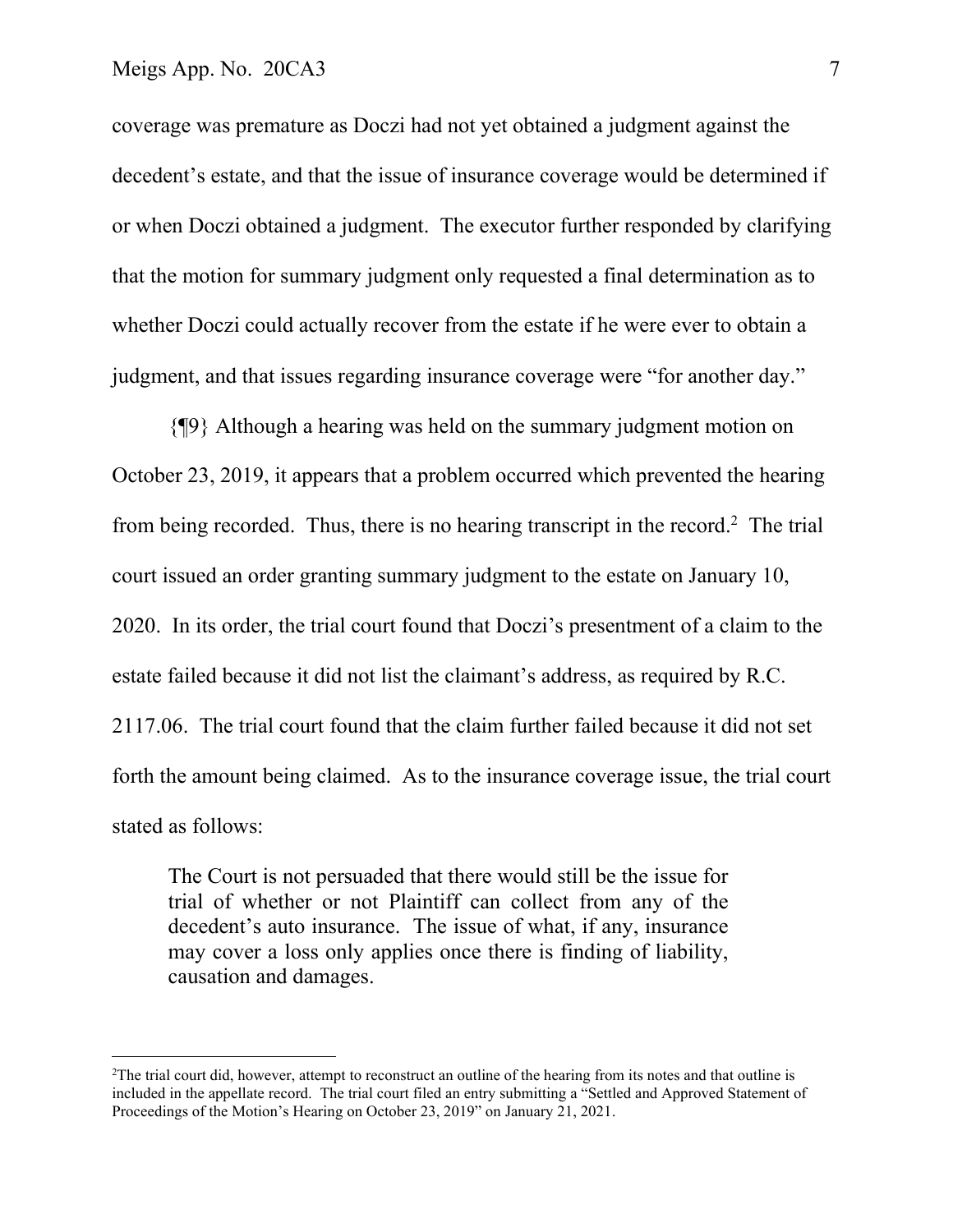coverage was premature as Doczi had not yet obtained a judgment against the decedent's estate, and that the issue of insurance coverage would be determined if or when Doczi obtained a judgment. The executor further responded by clarifying that the motion for summary judgment only requested a final determination as to whether Doczi could actually recover from the estate if he were ever to obtain a judgment, and that issues regarding insurance coverage were "for another day."

 {¶9} Although a hearing was held on the summary judgment motion on October 23, 2019, it appears that a problem occurred which prevented the hearing from being recorded. Thus, there is no hearing transcript in the record.<sup>2</sup> The trial court issued an order granting summary judgment to the estate on January 10, 2020. In its order, the trial court found that Doczi's presentment of a claim to the estate failed because it did not list the claimant's address, as required by R.C. 2117.06. The trial court found that the claim further failed because it did not set forth the amount being claimed. As to the insurance coverage issue, the trial court stated as follows:

The Court is not persuaded that there would still be the issue for trial of whether or not Plaintiff can collect from any of the decedent's auto insurance. The issue of what, if any, insurance may cover a loss only applies once there is finding of liability, causation and damages.

<sup>&</sup>lt;sup>2</sup>The trial court did, however, attempt to reconstruct an outline of the hearing from its notes and that outline is included in the appellate record. The trial court filed an entry submitting a "Settled and Approved Statement of Proceedings of the Motion's Hearing on October 23, 2019" on January 21, 2021.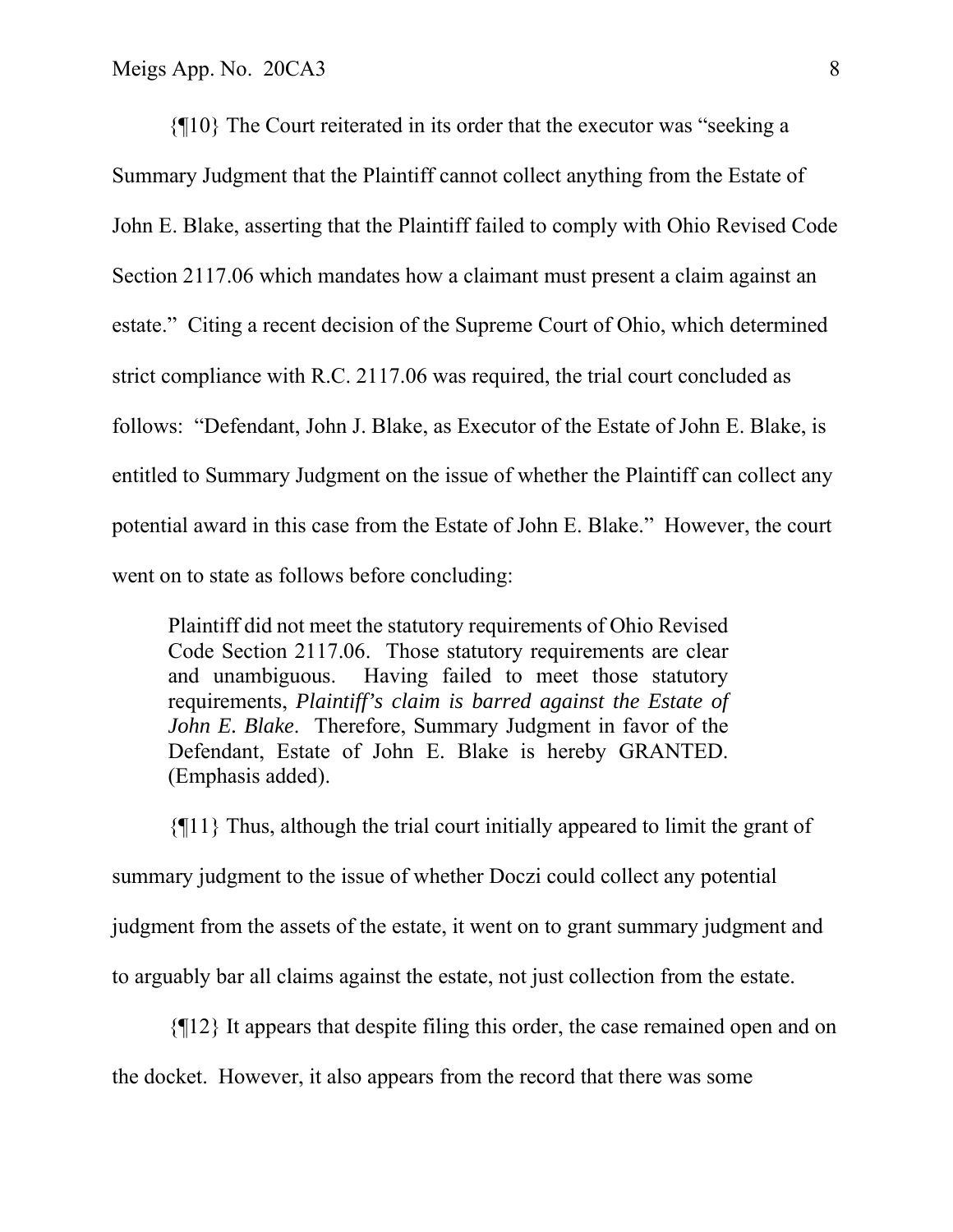{¶10} The Court reiterated in its order that the executor was "seeking a Summary Judgment that the Plaintiff cannot collect anything from the Estate of John E. Blake, asserting that the Plaintiff failed to comply with Ohio Revised Code Section 2117.06 which mandates how a claimant must present a claim against an estate." Citing a recent decision of the Supreme Court of Ohio, which determined strict compliance with R.C. 2117.06 was required, the trial court concluded as follows: "Defendant, John J. Blake, as Executor of the Estate of John E. Blake, is entitled to Summary Judgment on the issue of whether the Plaintiff can collect any potential award in this case from the Estate of John E. Blake." However, the court went on to state as follows before concluding:

Plaintiff did not meet the statutory requirements of Ohio Revised Code Section 2117.06. Those statutory requirements are clear and unambiguous. Having failed to meet those statutory requirements, *Plaintiff's claim is barred against the Estate of John E. Blake*. Therefore, Summary Judgment in favor of the Defendant, Estate of John E. Blake is hereby GRANTED. (Emphasis added).

{¶11} Thus, although the trial court initially appeared to limit the grant of summary judgment to the issue of whether Doczi could collect any potential judgment from the assets of the estate, it went on to grant summary judgment and to arguably bar all claims against the estate, not just collection from the estate.

 {¶12} It appears that despite filing this order, the case remained open and on the docket. However, it also appears from the record that there was some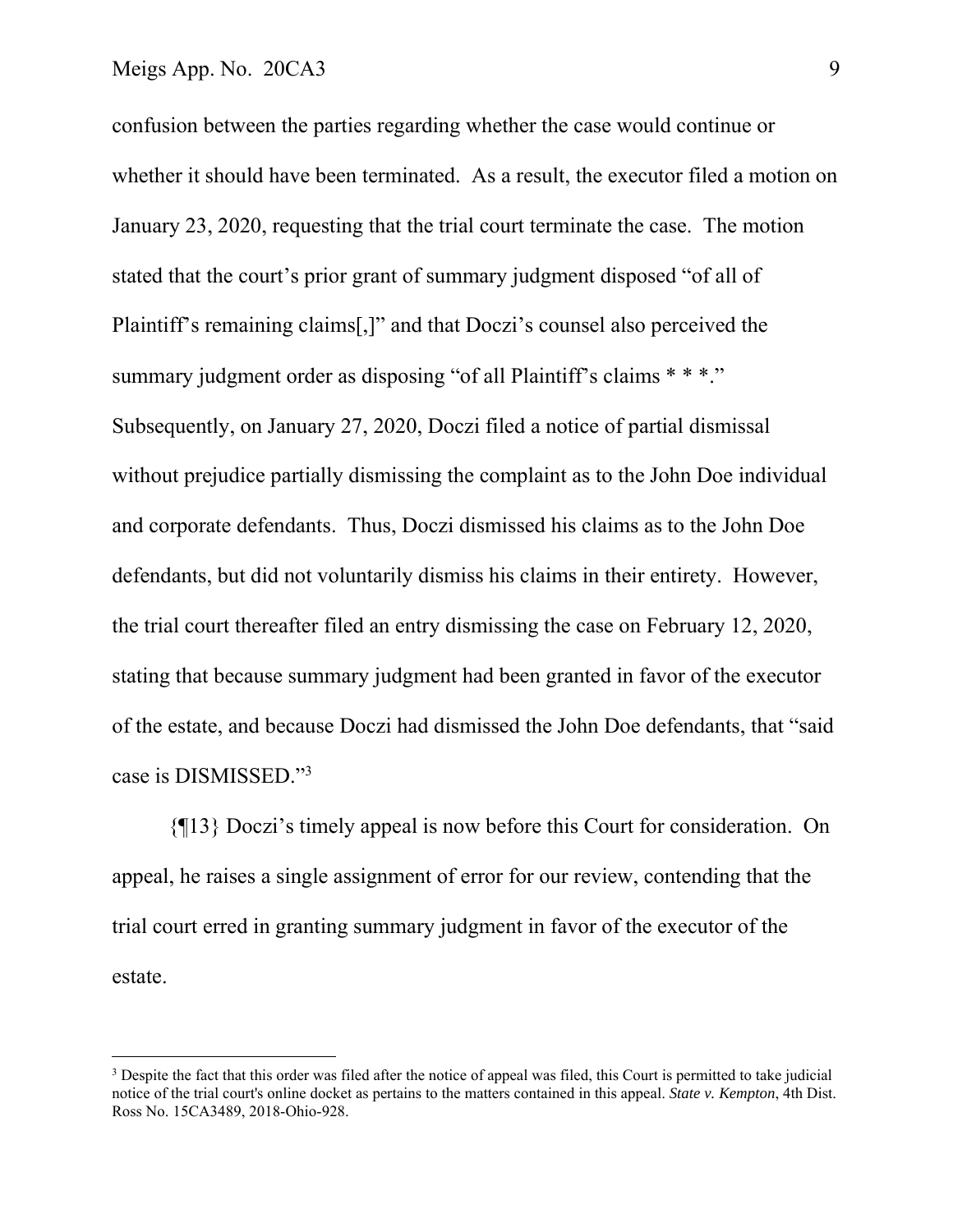confusion between the parties regarding whether the case would continue or whether it should have been terminated. As a result, the executor filed a motion on January 23, 2020, requesting that the trial court terminate the case. The motion stated that the court's prior grant of summary judgment disposed "of all of Plaintiff's remaining claims[,]" and that Doczi's counsel also perceived the summary judgment order as disposing "of all Plaintiff's claims \* \* \*." Subsequently, on January 27, 2020, Doczi filed a notice of partial dismissal without prejudice partially dismissing the complaint as to the John Doe individual and corporate defendants. Thus, Doczi dismissed his claims as to the John Doe defendants, but did not voluntarily dismiss his claims in their entirety. However, the trial court thereafter filed an entry dismissing the case on February 12, 2020, stating that because summary judgment had been granted in favor of the executor of the estate, and because Doczi had dismissed the John Doe defendants, that "said case is DISMISSED."3

 {¶13} Doczi's timely appeal is now before this Court for consideration. On appeal, he raises a single assignment of error for our review, contending that the trial court erred in granting summary judgment in favor of the executor of the estate.

<sup>&</sup>lt;sup>3</sup> Despite the fact that this order was filed after the notice of appeal was filed, this Court is permitted to take judicial notice of the trial court's online docket as pertains to the matters contained in this appeal. *State v. Kempton*, 4th Dist. Ross No. 15CA3489, 2018-Ohio-928.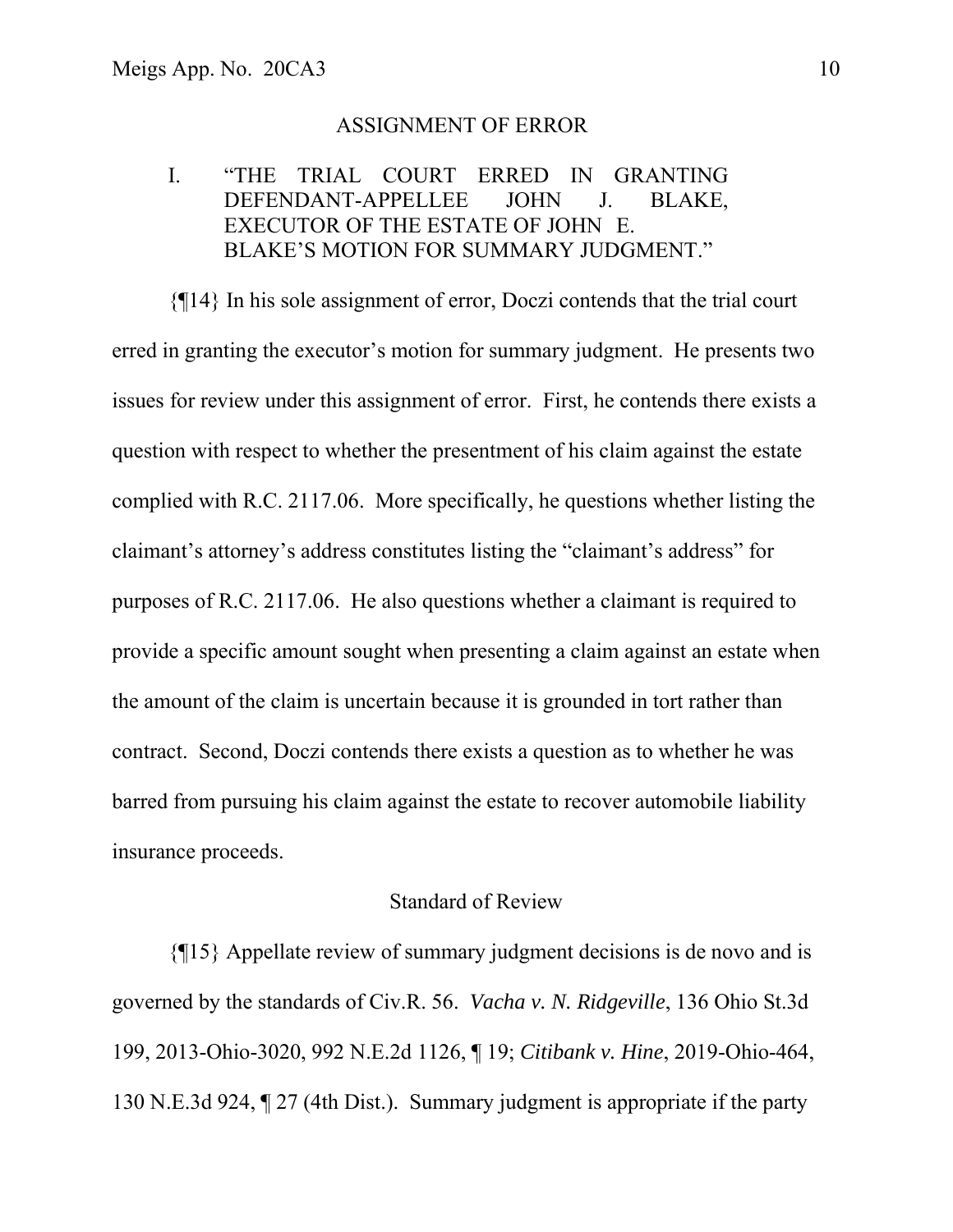#### ASSIGNMENT OF ERROR

## I. "THE TRIAL COURT ERRED IN GRANTING DEFENDANT-APPELLEE JOHN J. BLAKE, EXECUTOR OF THE ESTATE OF JOHN E. BLAKE'S MOTION FOR SUMMARY JUDGMENT."

 {¶14} In his sole assignment of error, Doczi contends that the trial court erred in granting the executor's motion for summary judgment. He presents two issues for review under this assignment of error. First, he contends there exists a question with respect to whether the presentment of his claim against the estate complied with R.C. 2117.06. More specifically, he questions whether listing the claimant's attorney's address constitutes listing the "claimant's address" for purposes of R.C. 2117.06. He also questions whether a claimant is required to provide a specific amount sought when presenting a claim against an estate when the amount of the claim is uncertain because it is grounded in tort rather than contract. Second, Doczi contends there exists a question as to whether he was barred from pursuing his claim against the estate to recover automobile liability insurance proceeds.

### Standard of Review

 {¶15} Appellate review of summary judgment decisions is de novo and is governed by the standards of Civ.R. 56. *Vacha v. N. Ridgeville*, 136 Ohio St.3d 199, 2013-Ohio-3020, 992 N.E.2d 1126, ¶ 19; *Citibank v. Hine*, 2019-Ohio-464, 130 N.E.3d 924, ¶ 27 (4th Dist.). Summary judgment is appropriate if the party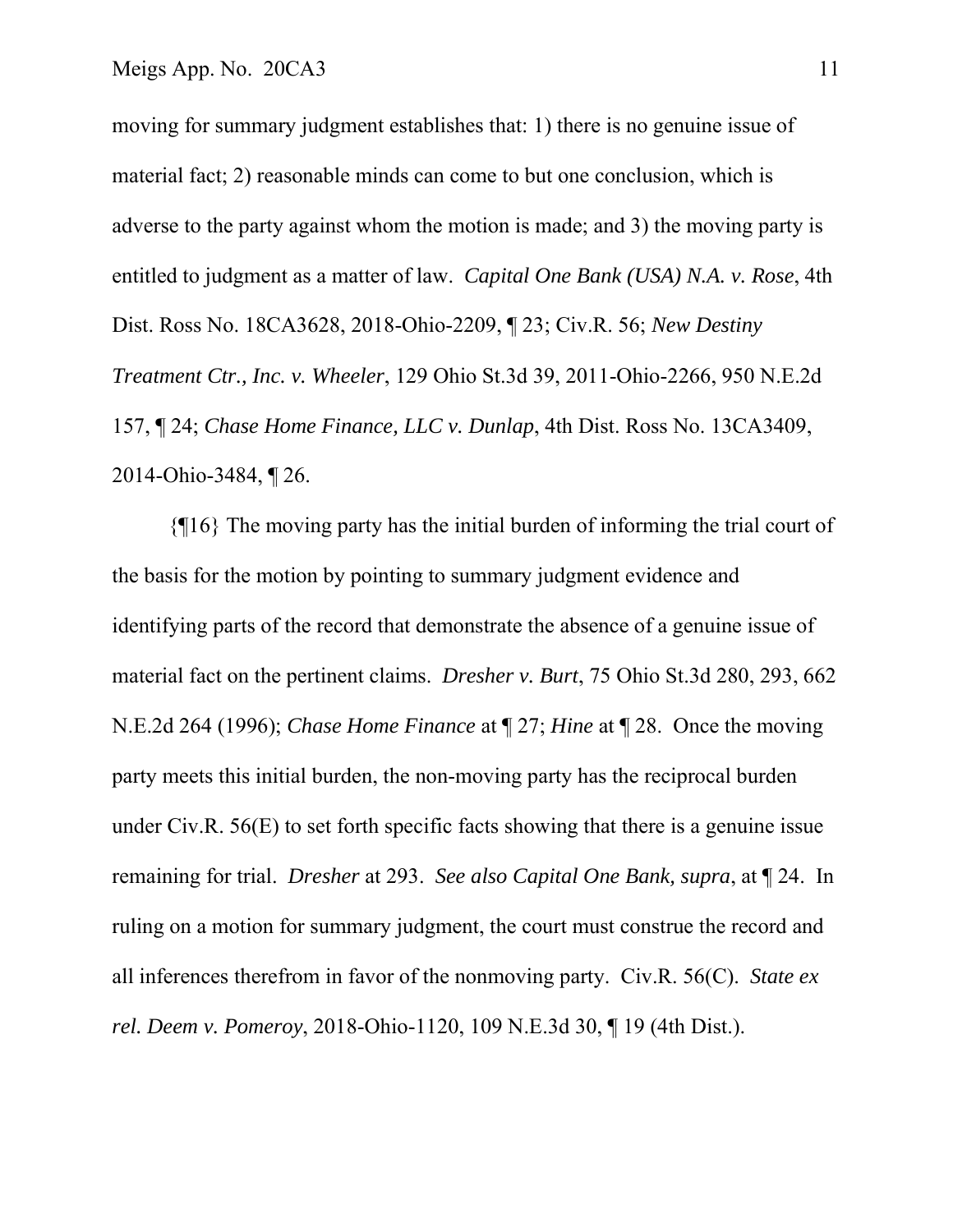moving for summary judgment establishes that: 1) there is no genuine issue of material fact; 2) reasonable minds can come to but one conclusion, which is adverse to the party against whom the motion is made; and 3) the moving party is entitled to judgment as a matter of law. *Capital One Bank (USA) N.A. v. Rose*, 4th Dist. Ross No. 18CA3628, 2018-Ohio-2209, ¶ 23; Civ.R. 56; *New Destiny Treatment Ctr., Inc. v. Wheeler*, 129 Ohio St.3d 39, 2011-Ohio-2266, 950 N.E.2d 157, ¶ 24; *Chase Home Finance, LLC v. Dunlap*, 4th Dist. Ross No. 13CA3409, 2014-Ohio-3484, ¶ 26.

 {¶16} The moving party has the initial burden of informing the trial court of the basis for the motion by pointing to summary judgment evidence and identifying parts of the record that demonstrate the absence of a genuine issue of material fact on the pertinent claims. *Dresher v. Burt*, 75 Ohio St.3d 280, 293, 662 N.E.2d 264 (1996); *Chase Home Finance* at ¶ 27; *Hine* at ¶ 28. Once the moving party meets this initial burden, the non-moving party has the reciprocal burden under Civ.R. 56(E) to set forth specific facts showing that there is a genuine issue remaining for trial. *Dresher* at 293. *See also Capital One Bank, supra*, at ¶ 24. In ruling on a motion for summary judgment, the court must construe the record and all inferences therefrom in favor of the nonmoving party. Civ.R. 56(C). *State ex rel. Deem v. Pomeroy*, 2018-Ohio-1120, 109 N.E.3d 30, ¶ 19 (4th Dist.).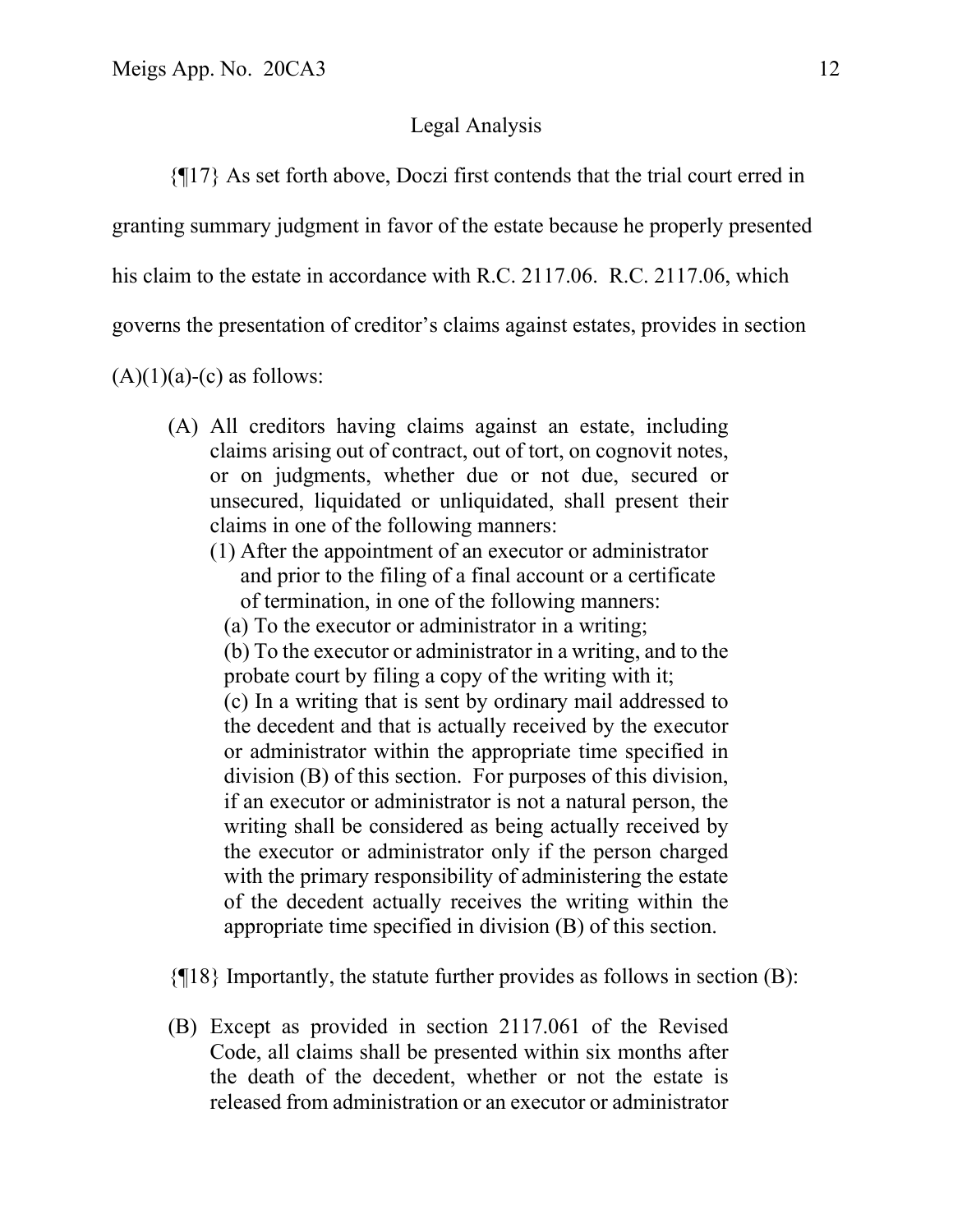### Legal Analysis

{¶17} As set forth above, Doczi first contends that the trial court erred in

granting summary judgment in favor of the estate because he properly presented

his claim to the estate in accordance with R.C. 2117.06. R.C. 2117.06, which

governs the presentation of creditor's claims against estates, provides in section

 $(A)(1)(a)-(c)$  as follows:

- (A) All creditors having claims against an estate, including claims arising out of contract, out of tort, on cognovit notes, or on judgments, whether due or not due, secured or unsecured, liquidated or unliquidated, shall present their claims in one of the following manners:
	- (1) After the appointment of an executor or administrator and prior to the filing of a final account or a certificate of termination, in one of the following manners:
		- (a) To the executor or administrator in a writing;

(b) To the executor or administrator in a writing, and to the probate court by filing a copy of the writing with it; (c) In a writing that is sent by ordinary mail addressed to the decedent and that is actually received by the executor or administrator within the appropriate time specified in division (B) of this section. For purposes of this division, if an executor or administrator is not a natural person, the writing shall be considered as being actually received by the executor or administrator only if the person charged with the primary responsibility of administering the estate of the decedent actually receives the writing within the appropriate time specified in division (B) of this section.

{¶18} Importantly, the statute further provides as follows in section (B):

(B) Except as provided in section 2117.061 of the Revised Code, all claims shall be presented within six months after the death of the decedent, whether or not the estate is released from administration or an executor or administrator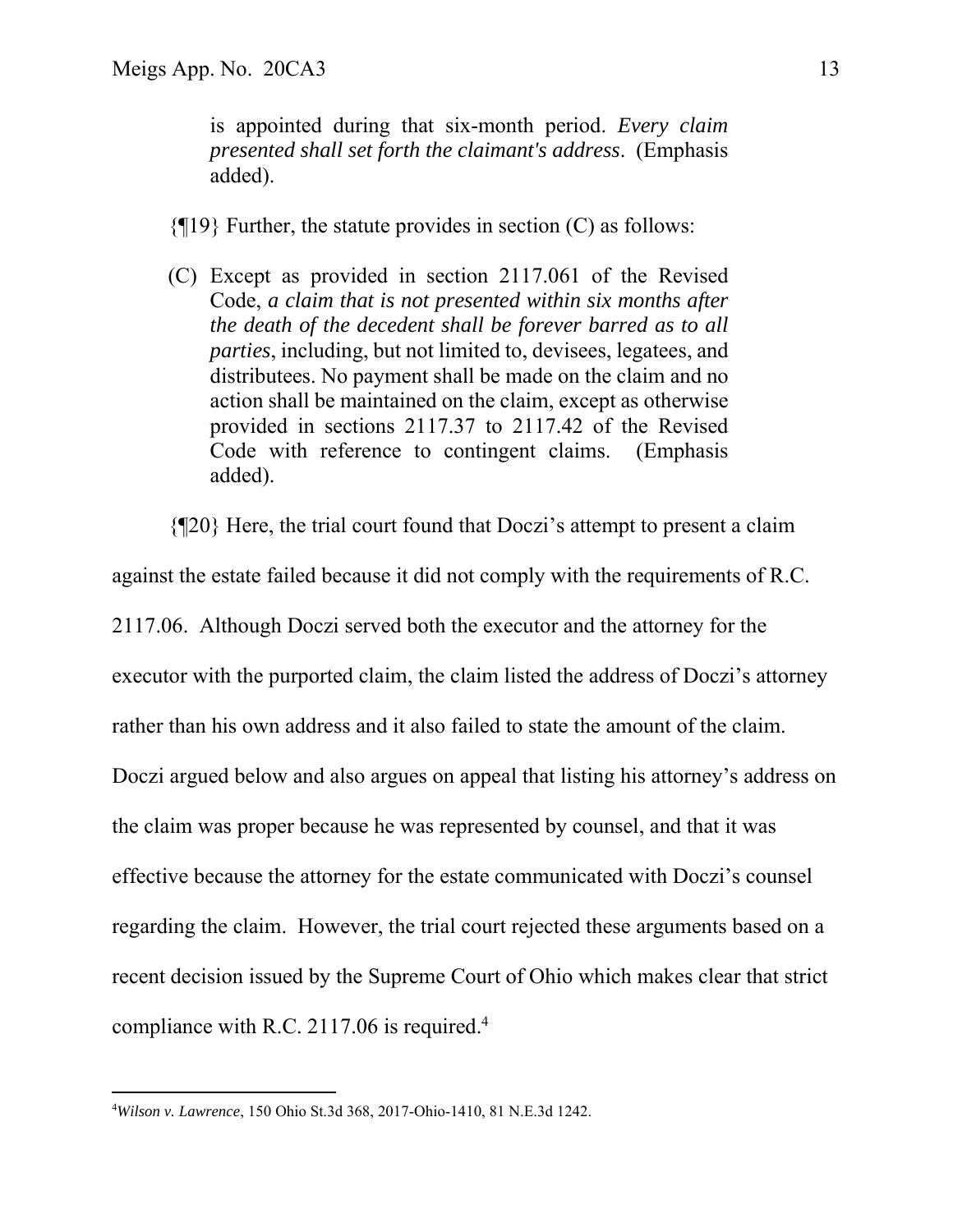is appointed during that six-month period. *Every claim presented shall set forth the claimant's address*. (Emphasis added).

 ${q19}$  Further, the statute provides in section (C) as follows:

(C) Except as provided in section 2117.061 of the Revised Code, *a claim that is not presented within six months after the death of the decedent shall be forever barred as to all parties*, including, but not limited to, devisees, legatees, and distributees. No payment shall be made on the claim and no action shall be maintained on the claim, except as otherwise provided in sections 2117.37 to 2117.42 of the Revised Code with reference to contingent claims. (Emphasis added).

{¶20} Here, the trial court found that Doczi's attempt to present a claim

against the estate failed because it did not comply with the requirements of R.C. 2117.06. Although Doczi served both the executor and the attorney for the executor with the purported claim, the claim listed the address of Doczi's attorney rather than his own address and it also failed to state the amount of the claim. Doczi argued below and also argues on appeal that listing his attorney's address on the claim was proper because he was represented by counsel, and that it was effective because the attorney for the estate communicated with Doczi's counsel regarding the claim. However, the trial court rejected these arguments based on a recent decision issued by the Supreme Court of Ohio which makes clear that strict compliance with R.C. 2117.06 is required.<sup>4</sup>

<sup>4</sup> *Wilson v. Lawrence*, 150 Ohio St.3d 368, 2017-Ohio-1410, 81 N.E.3d 1242.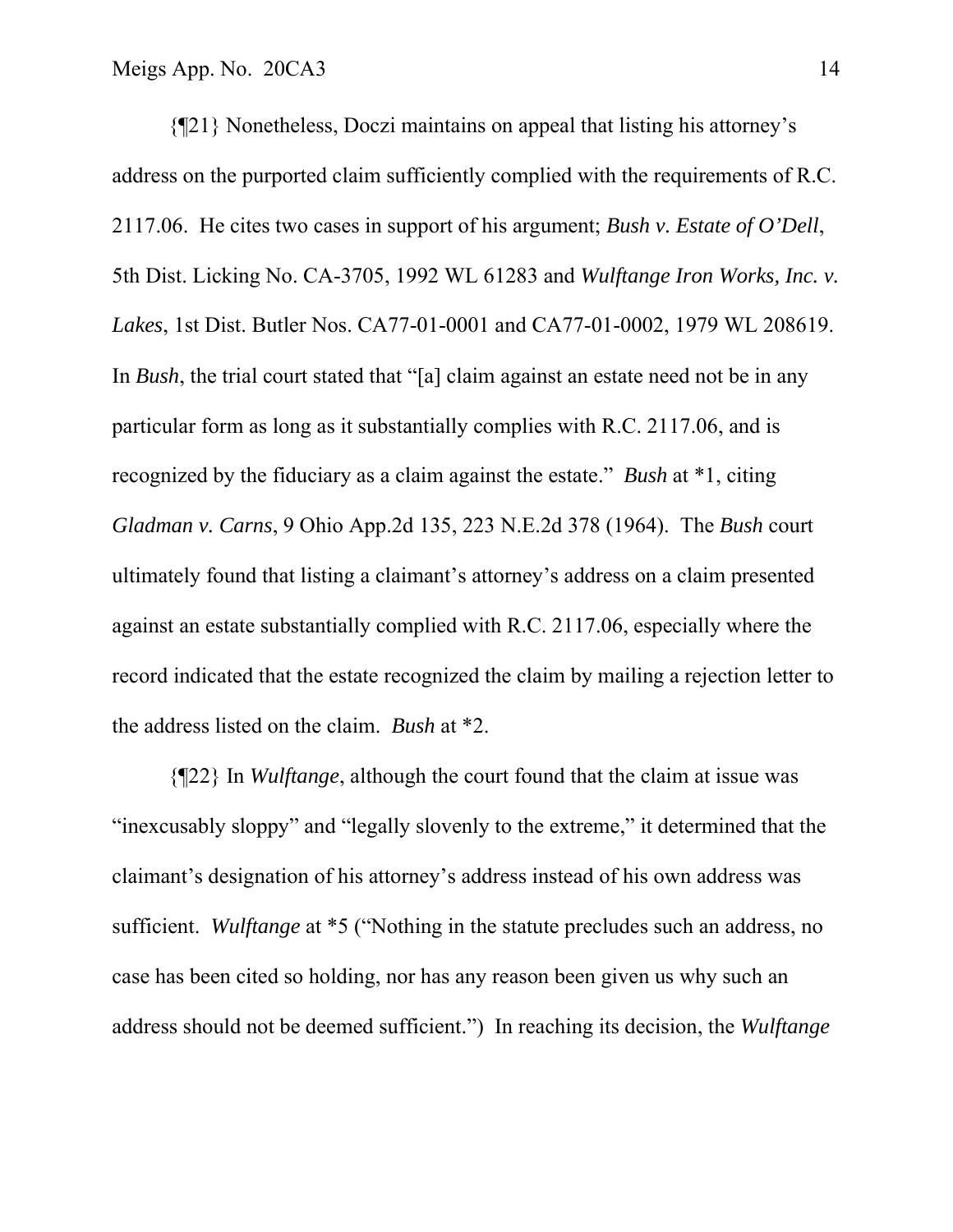{¶21} Nonetheless, Doczi maintains on appeal that listing his attorney's address on the purported claim sufficiently complied with the requirements of R.C. 2117.06. He cites two cases in support of his argument; *Bush v. Estate of O'Dell*, 5th Dist. Licking No. CA-3705, 1992 WL 61283 and *Wulftange Iron Works, Inc. v. Lakes*, 1st Dist. Butler Nos. CA77-01-0001 and CA77-01-0002, 1979 WL 208619. In *Bush*, the trial court stated that "[a] claim against an estate need not be in any particular form as long as it substantially complies with R.C. 2117.06, and is recognized by the fiduciary as a claim against the estate." *Bush* at \*1, citing *Gladman v. Carns*, 9 Ohio App.2d 135, 223 N.E.2d 378 (1964). The *Bush* court ultimately found that listing a claimant's attorney's address on a claim presented against an estate substantially complied with R.C. 2117.06, especially where the record indicated that the estate recognized the claim by mailing a rejection letter to the address listed on the claim. *Bush* at \*2.

 {¶22} In *Wulftange*, although the court found that the claim at issue was "inexcusably sloppy" and "legally slovenly to the extreme," it determined that the claimant's designation of his attorney's address instead of his own address was sufficient. *Wulftange* at \*5 ("Nothing in the statute precludes such an address, no case has been cited so holding, nor has any reason been given us why such an address should not be deemed sufficient.") In reaching its decision, the *Wulftange*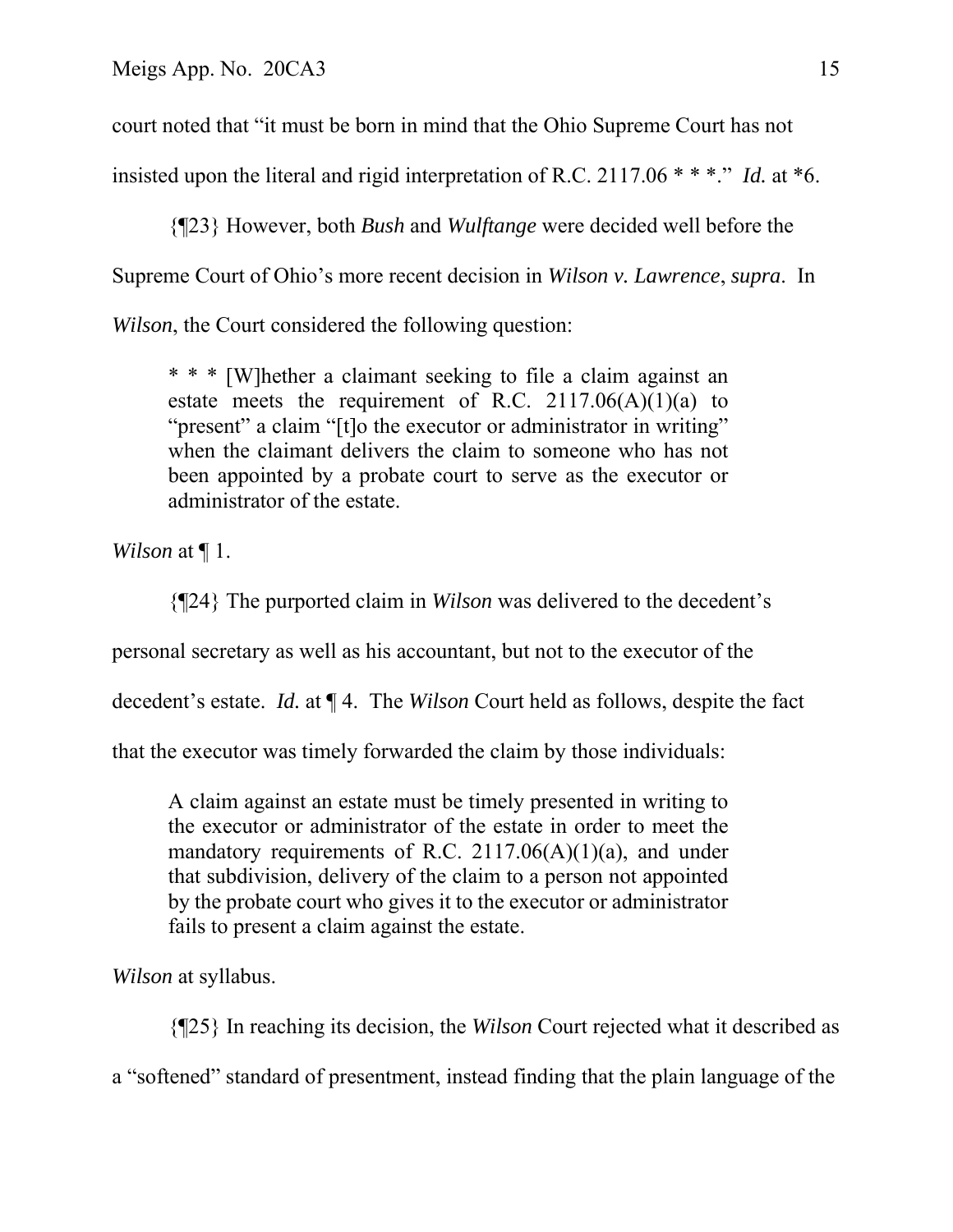court noted that "it must be born in mind that the Ohio Supreme Court has not

insisted upon the literal and rigid interpretation of R.C. 2117.06 \* \* \*." *Id.* at \*6.

 {¶23} However, both *Bush* and *Wulftange* were decided well before the Supreme Court of Ohio's more recent decision in *Wilson v. Lawrence*, *supra*. In *Wilson*, the Court considered the following question:

\* \* \* [W]hether a claimant seeking to file a claim against an estate meets the requirement of R.C.  $2117.06(A)(1)(a)$  to "present" a claim "[t]o the executor or administrator in writing" when the claimant delivers the claim to someone who has not been appointed by a probate court to serve as the executor or administrator of the estate.

*Wilson* at ¶ 1.

{¶24} The purported claim in *Wilson* was delivered to the decedent's

personal secretary as well as his accountant, but not to the executor of the

decedent's estate. *Id.* at ¶ 4. The *Wilson* Court held as follows, despite the fact

that the executor was timely forwarded the claim by those individuals:

A claim against an estate must be timely presented in writing to the executor or administrator of the estate in order to meet the mandatory requirements of R.C.  $2117.06(A)(1)(a)$ , and under that subdivision, delivery of the claim to a person not appointed by the probate court who gives it to the executor or administrator fails to present a claim against the estate.

*Wilson* at syllabus.

{¶25} In reaching its decision, the *Wilson* Court rejected what it described as

a "softened" standard of presentment, instead finding that the plain language of the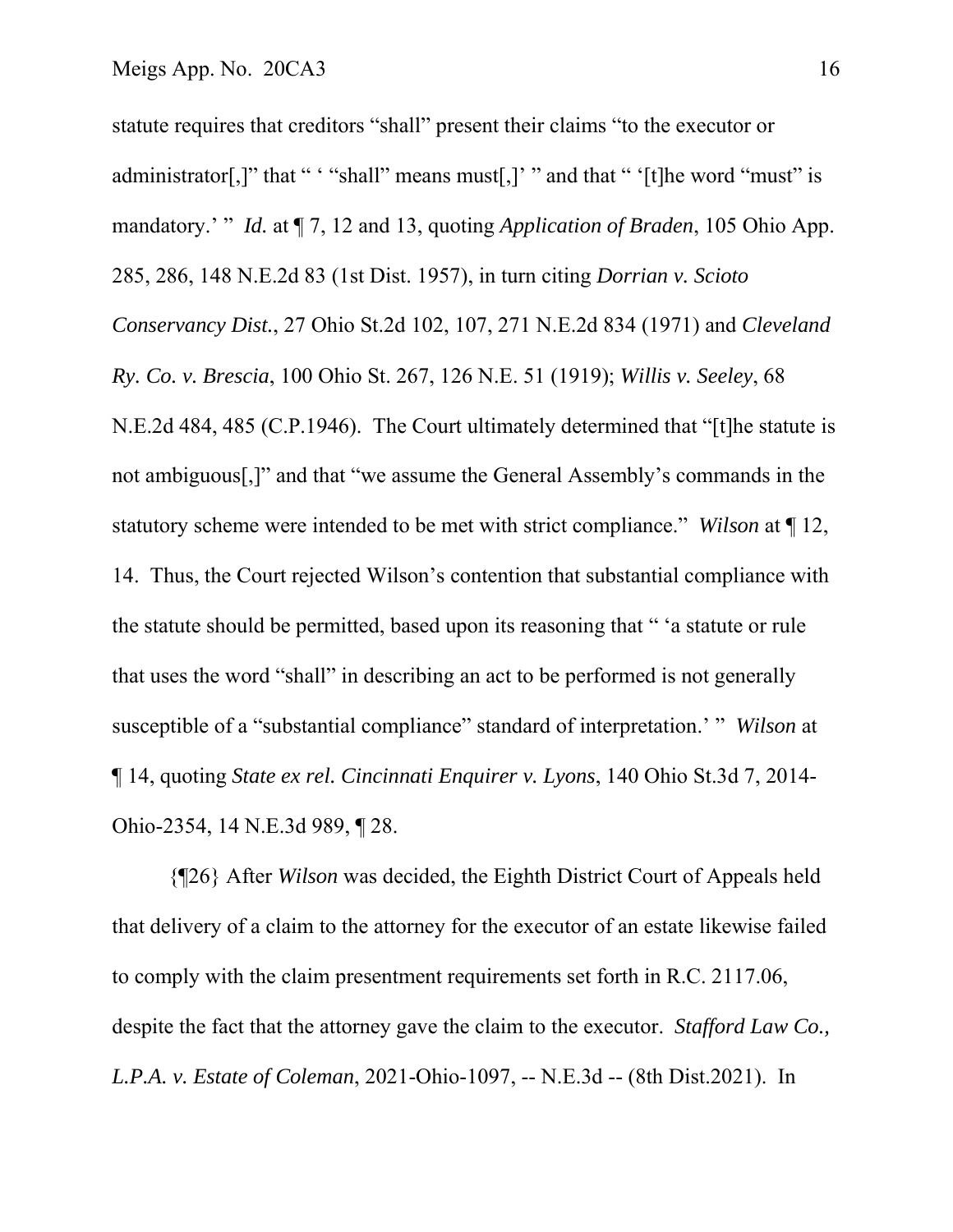statute requires that creditors "shall" present their claims "to the executor or administrator[,]" that " " "shall" means must[,]' " and that " '[t]he word "must" is mandatory.' " *Id.* at ¶ 7, 12 and 13, quoting *Application of Braden*, 105 Ohio App. 285, 286, 148 N.E.2d 83 (1st Dist. 1957), in turn citing *Dorrian v. Scioto Conservancy Dist.*, 27 Ohio St.2d 102, 107, 271 N.E.2d 834 (1971) and *Cleveland Ry. Co. v. Brescia*, 100 Ohio St. 267, 126 N.E. 51 (1919); *Willis v. Seeley*, 68 N.E.2d 484, 485 (C.P.1946). The Court ultimately determined that "[t]he statute is not ambiguous[,]" and that "we assume the General Assembly's commands in the statutory scheme were intended to be met with strict compliance." *Wilson* at ¶ 12, 14. Thus, the Court rejected Wilson's contention that substantial compliance with the statute should be permitted, based upon its reasoning that " 'a statute or rule that uses the word "shall" in describing an act to be performed is not generally susceptible of a "substantial compliance" standard of interpretation.' " *Wilson* at ¶ 14, quoting *State ex rel. Cincinnati Enquirer v. Lyons*, 140 Ohio St.3d 7, 2014- Ohio-2354, 14 N.E.3d 989, ¶ 28.

 {¶26} After *Wilson* was decided, the Eighth District Court of Appeals held that delivery of a claim to the attorney for the executor of an estate likewise failed to comply with the claim presentment requirements set forth in R.C. 2117.06, despite the fact that the attorney gave the claim to the executor. *Stafford Law Co., L.P.A. v. Estate of Coleman*, 2021-Ohio-1097, -- N.E.3d -- (8th Dist.2021). In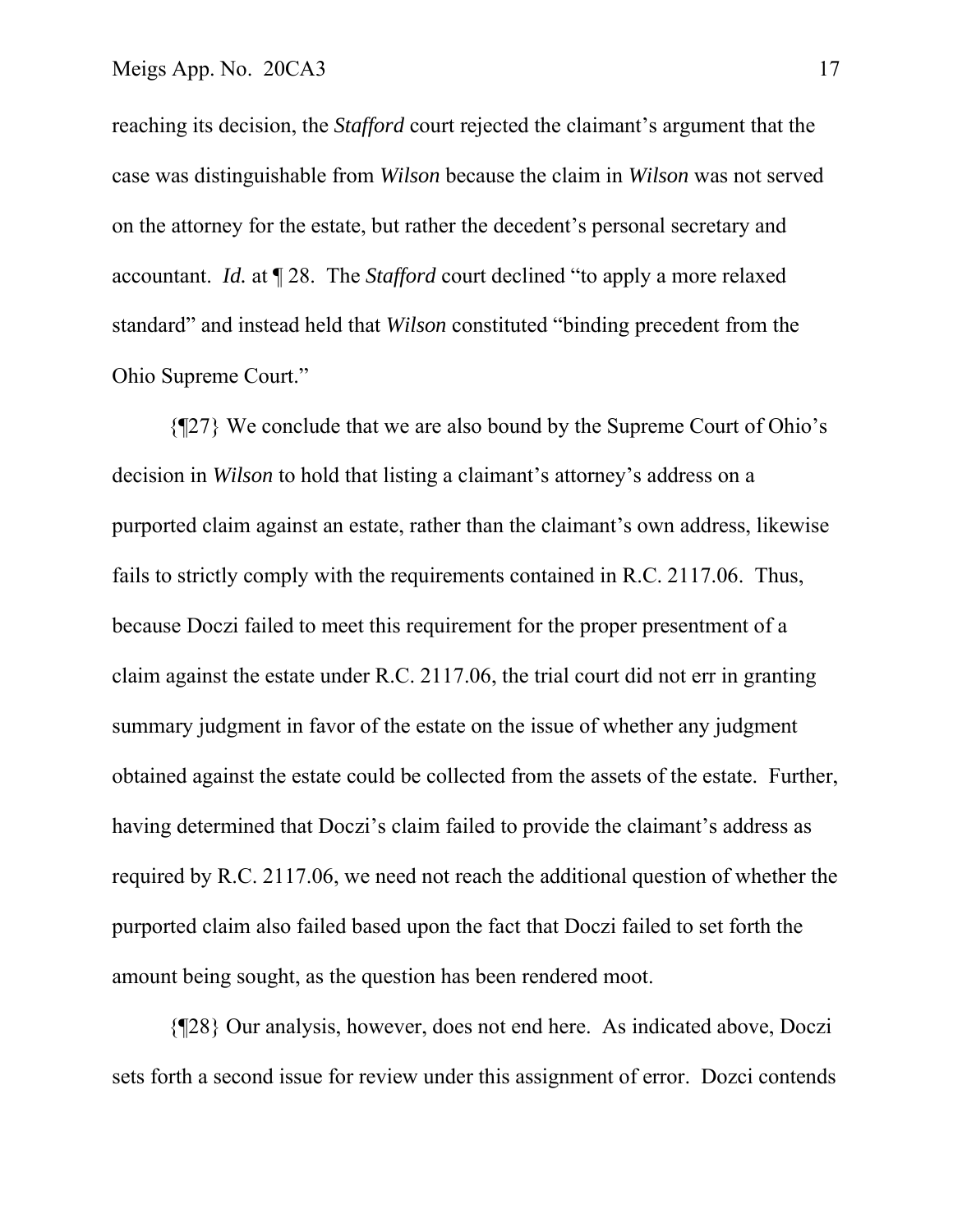reaching its decision, the *Stafford* court rejected the claimant's argument that the case was distinguishable from *Wilson* because the claim in *Wilson* was not served on the attorney for the estate, but rather the decedent's personal secretary and accountant. *Id.* at ¶ 28. The *Stafford* court declined "to apply a more relaxed standard" and instead held that *Wilson* constituted "binding precedent from the Ohio Supreme Court."

 {¶27} We conclude that we are also bound by the Supreme Court of Ohio's decision in *Wilson* to hold that listing a claimant's attorney's address on a purported claim against an estate, rather than the claimant's own address, likewise fails to strictly comply with the requirements contained in R.C. 2117.06. Thus, because Doczi failed to meet this requirement for the proper presentment of a claim against the estate under R.C. 2117.06, the trial court did not err in granting summary judgment in favor of the estate on the issue of whether any judgment obtained against the estate could be collected from the assets of the estate. Further, having determined that Doczi's claim failed to provide the claimant's address as required by R.C. 2117.06, we need not reach the additional question of whether the purported claim also failed based upon the fact that Doczi failed to set forth the amount being sought, as the question has been rendered moot.

 {¶28} Our analysis, however, does not end here. As indicated above, Doczi sets forth a second issue for review under this assignment of error. Dozci contends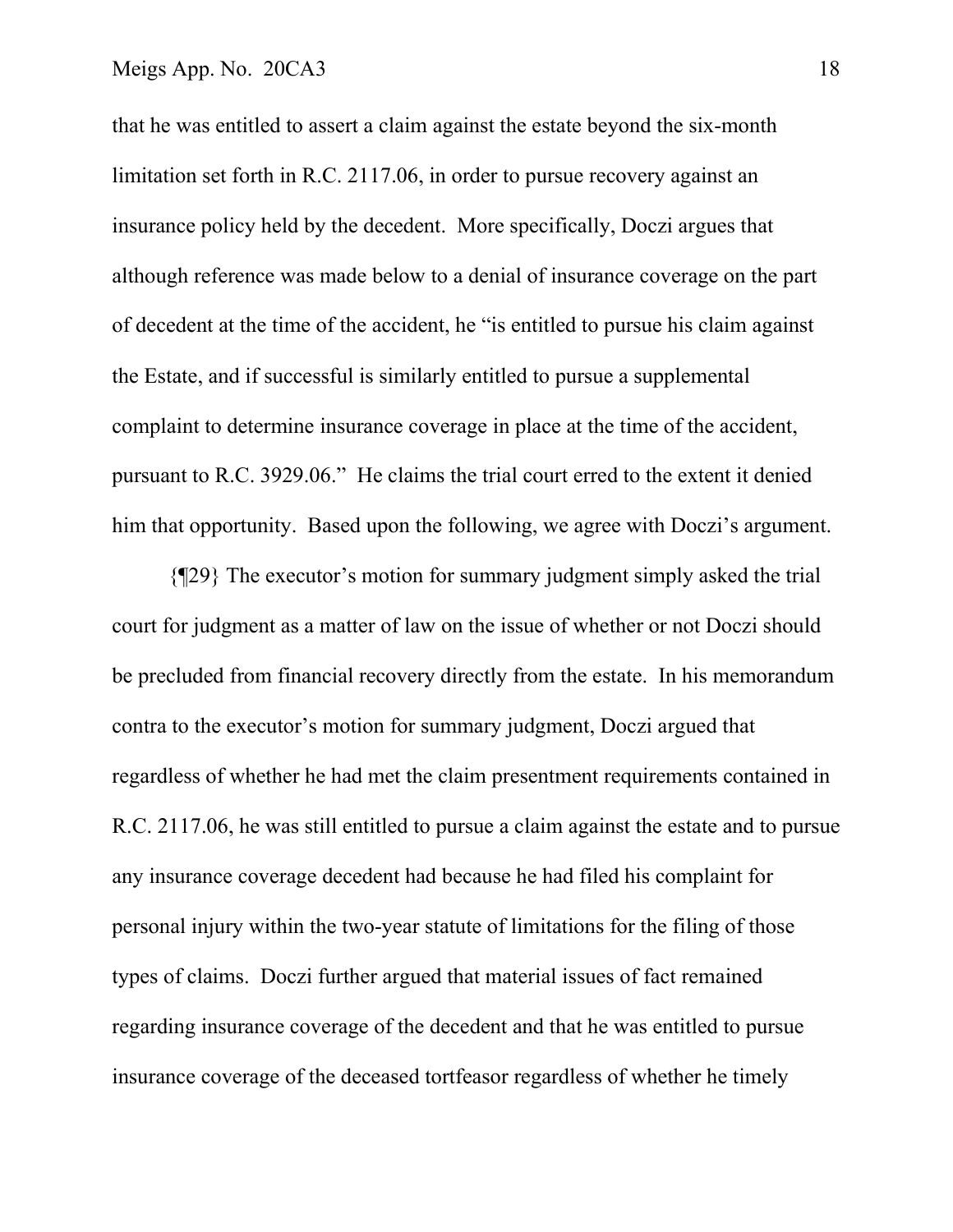that he was entitled to assert a claim against the estate beyond the six-month limitation set forth in R.C. 2117.06, in order to pursue recovery against an insurance policy held by the decedent. More specifically, Doczi argues that although reference was made below to a denial of insurance coverage on the part of decedent at the time of the accident, he "is entitled to pursue his claim against the Estate, and if successful is similarly entitled to pursue a supplemental complaint to determine insurance coverage in place at the time of the accident, pursuant to R.C. 3929.06." He claims the trial court erred to the extent it denied him that opportunity. Based upon the following, we agree with Doczi's argument.

 {¶29} The executor's motion for summary judgment simply asked the trial court for judgment as a matter of law on the issue of whether or not Doczi should be precluded from financial recovery directly from the estate. In his memorandum contra to the executor's motion for summary judgment, Doczi argued that regardless of whether he had met the claim presentment requirements contained in R.C. 2117.06, he was still entitled to pursue a claim against the estate and to pursue any insurance coverage decedent had because he had filed his complaint for personal injury within the two-year statute of limitations for the filing of those types of claims. Doczi further argued that material issues of fact remained regarding insurance coverage of the decedent and that he was entitled to pursue insurance coverage of the deceased tortfeasor regardless of whether he timely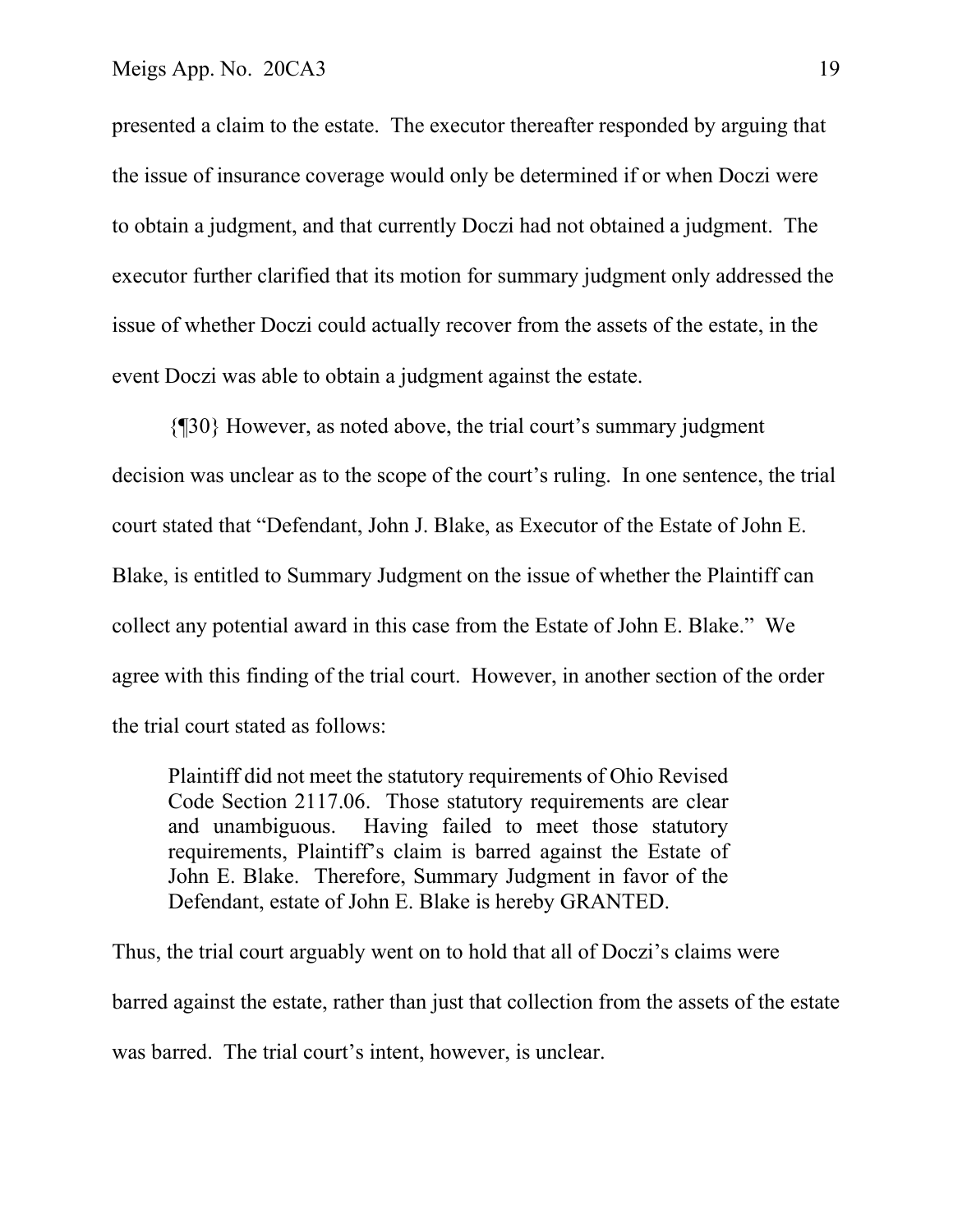presented a claim to the estate. The executor thereafter responded by arguing that the issue of insurance coverage would only be determined if or when Doczi were to obtain a judgment, and that currently Doczi had not obtained a judgment. The executor further clarified that its motion for summary judgment only addressed the issue of whether Doczi could actually recover from the assets of the estate, in the event Doczi was able to obtain a judgment against the estate.

 {¶30} However, as noted above, the trial court's summary judgment decision was unclear as to the scope of the court's ruling. In one sentence, the trial court stated that "Defendant, John J. Blake, as Executor of the Estate of John E. Blake, is entitled to Summary Judgment on the issue of whether the Plaintiff can collect any potential award in this case from the Estate of John E. Blake." We agree with this finding of the trial court. However, in another section of the order the trial court stated as follows:

Plaintiff did not meet the statutory requirements of Ohio Revised Code Section 2117.06. Those statutory requirements are clear and unambiguous. Having failed to meet those statutory requirements, Plaintiff's claim is barred against the Estate of John E. Blake. Therefore, Summary Judgment in favor of the Defendant, estate of John E. Blake is hereby GRANTED.

Thus, the trial court arguably went on to hold that all of Doczi's claims were barred against the estate, rather than just that collection from the assets of the estate was barred. The trial court's intent, however, is unclear.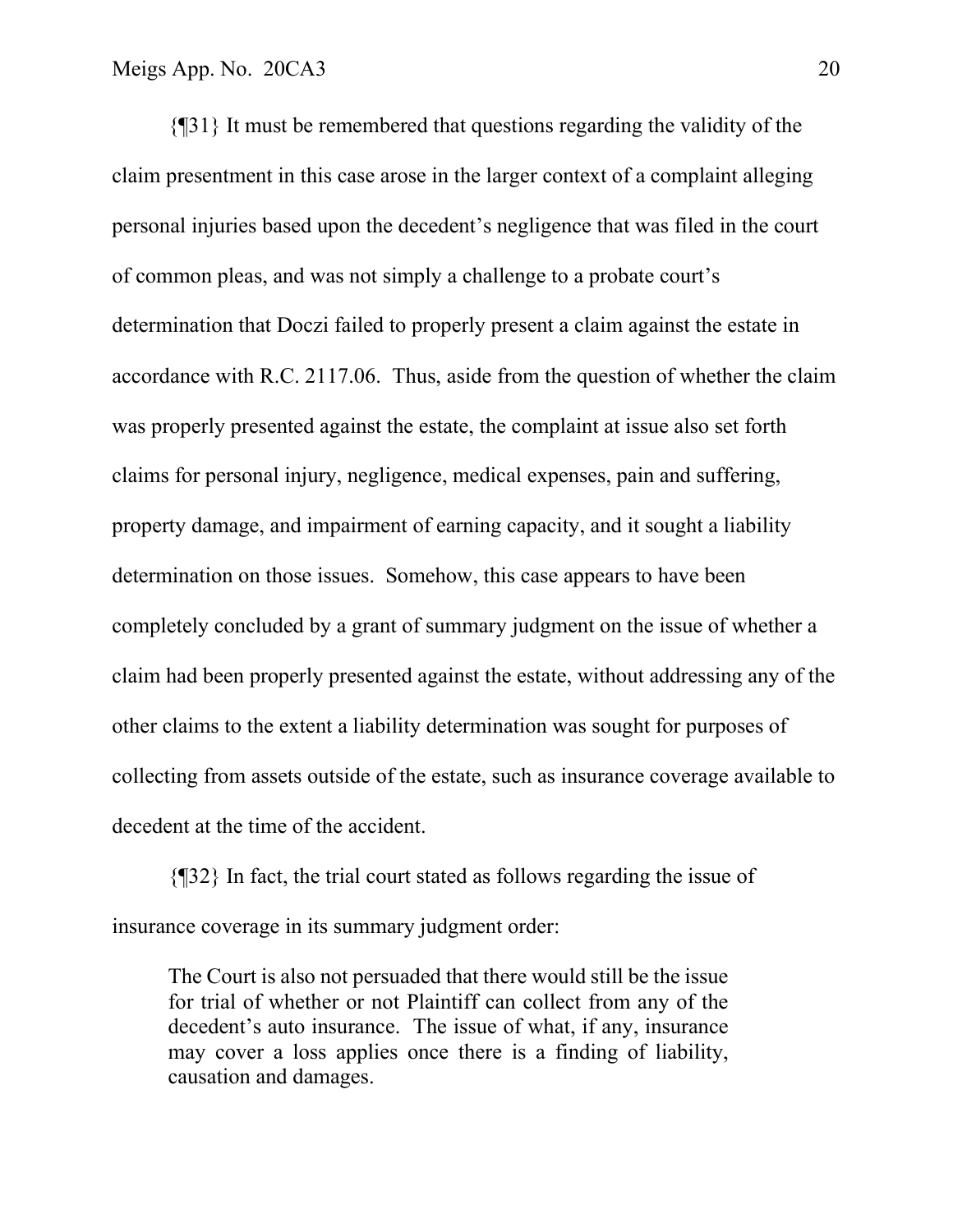{¶31} It must be remembered that questions regarding the validity of the claim presentment in this case arose in the larger context of a complaint alleging personal injuries based upon the decedent's negligence that was filed in the court of common pleas, and was not simply a challenge to a probate court's determination that Doczi failed to properly present a claim against the estate in accordance with R.C. 2117.06. Thus, aside from the question of whether the claim was properly presented against the estate, the complaint at issue also set forth claims for personal injury, negligence, medical expenses, pain and suffering, property damage, and impairment of earning capacity, and it sought a liability determination on those issues. Somehow, this case appears to have been completely concluded by a grant of summary judgment on the issue of whether a claim had been properly presented against the estate, without addressing any of the other claims to the extent a liability determination was sought for purposes of collecting from assets outside of the estate, such as insurance coverage available to decedent at the time of the accident.

 {¶32} In fact, the trial court stated as follows regarding the issue of insurance coverage in its summary judgment order:

The Court is also not persuaded that there would still be the issue for trial of whether or not Plaintiff can collect from any of the decedent's auto insurance. The issue of what, if any, insurance may cover a loss applies once there is a finding of liability, causation and damages.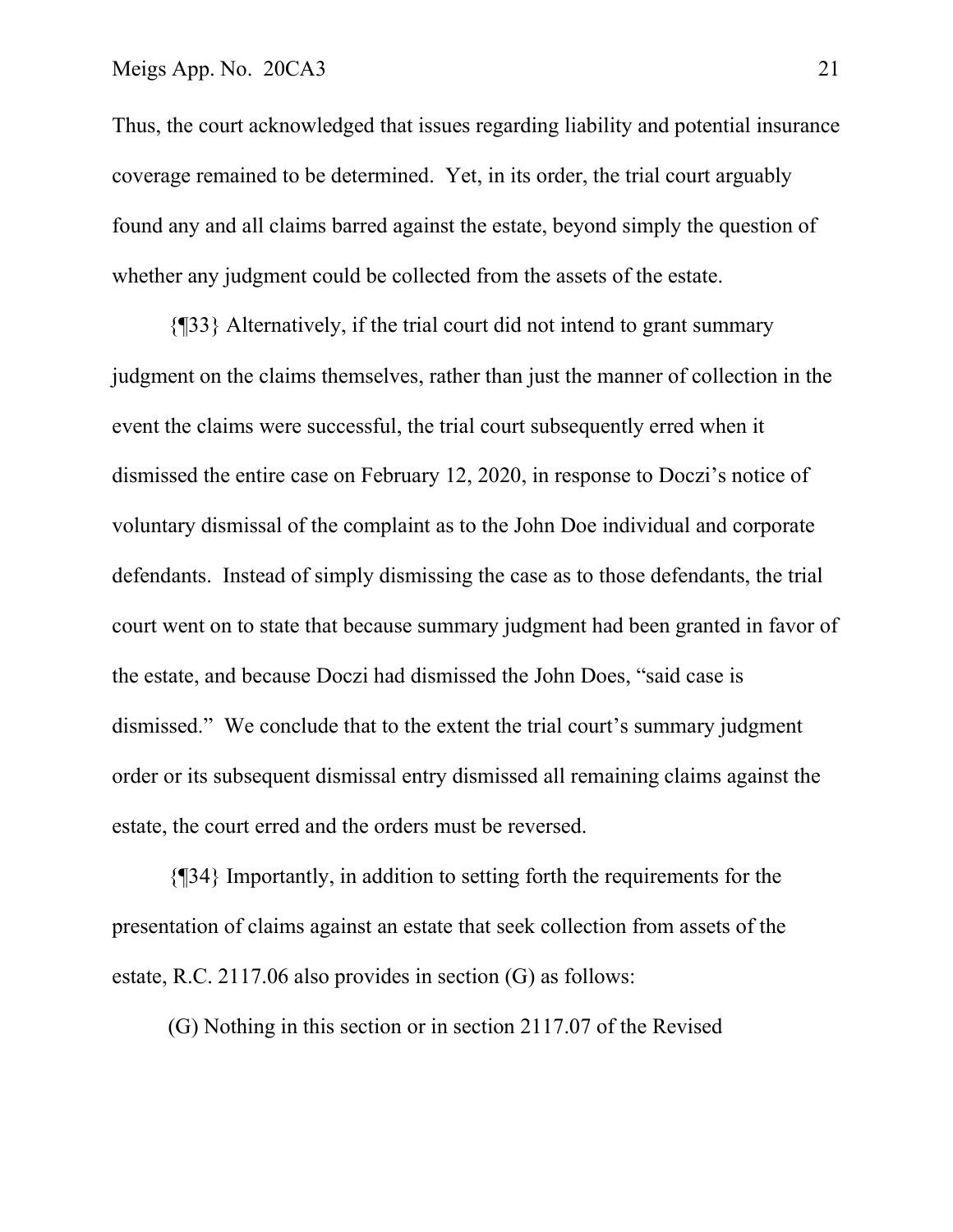Thus, the court acknowledged that issues regarding liability and potential insurance coverage remained to be determined. Yet, in its order, the trial court arguably found any and all claims barred against the estate, beyond simply the question of whether any judgment could be collected from the assets of the estate.

{¶33} Alternatively, if the trial court did not intend to grant summary judgment on the claims themselves, rather than just the manner of collection in the event the claims were successful, the trial court subsequently erred when it dismissed the entire case on February 12, 2020, in response to Doczi's notice of voluntary dismissal of the complaint as to the John Doe individual and corporate defendants. Instead of simply dismissing the case as to those defendants, the trial court went on to state that because summary judgment had been granted in favor of the estate, and because Doczi had dismissed the John Does, "said case is dismissed." We conclude that to the extent the trial court's summary judgment order or its subsequent dismissal entry dismissed all remaining claims against the estate, the court erred and the orders must be reversed.

 {¶34} Importantly, in addition to setting forth the requirements for the presentation of claims against an estate that seek collection from assets of the estate, R.C. 2117.06 also provides in section (G) as follows:

(G) Nothing in this section or in section 2117.07 of the Revised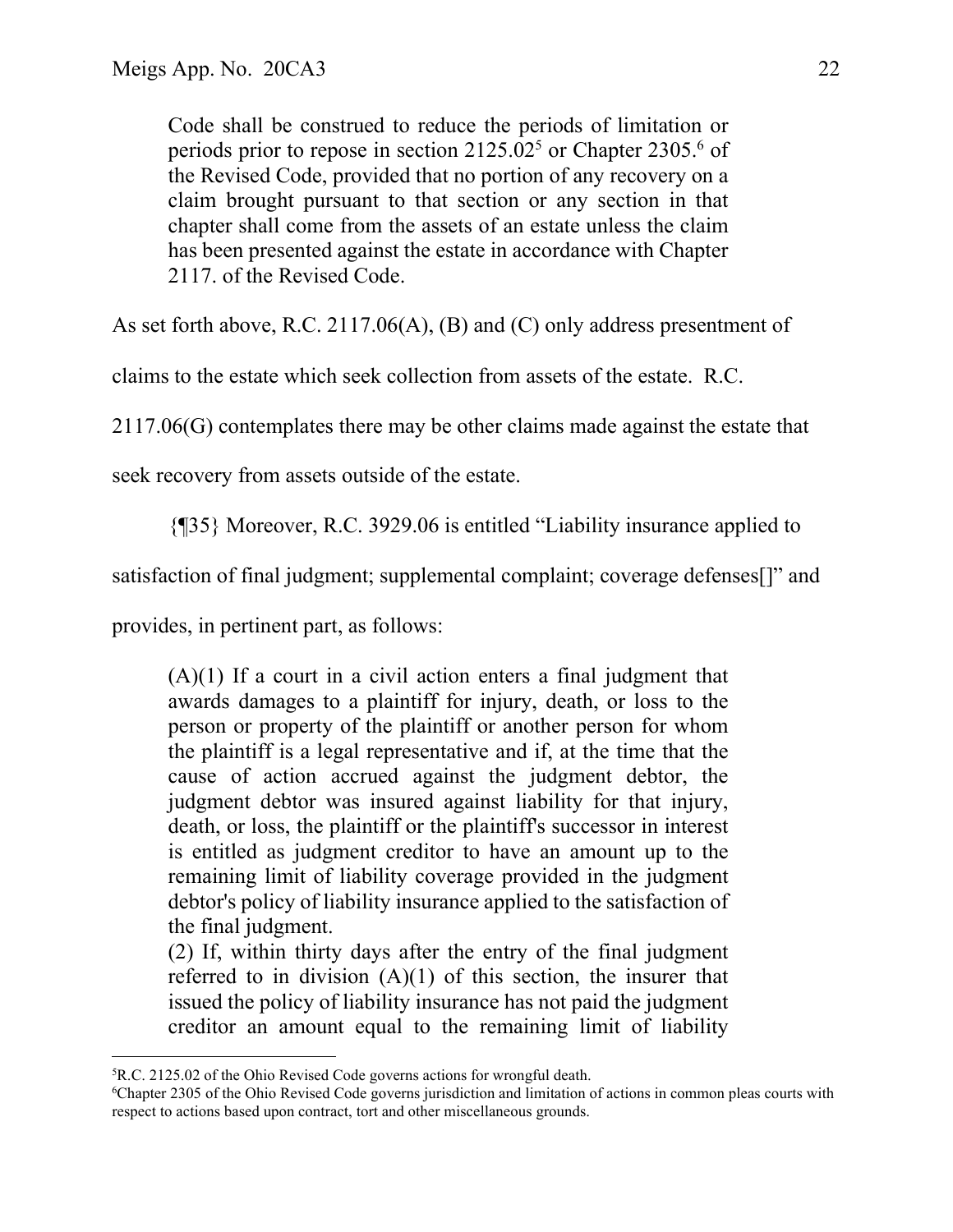Code shall be construed to reduce the periods of limitation or periods prior to repose in section  $2125.02<sup>5</sup>$  or Chapter 2305.<sup>6</sup> of the Revised Code, provided that no portion of any recovery on a claim brought pursuant to that section or any section in that chapter shall come from the assets of an estate unless the claim has been presented against the estate in accordance with Chapter 2117. of the Revised Code.

As set forth above, R.C. 2117.06(A), (B) and (C) only address presentment of

claims to the estate which seek collection from assets of the estate. R.C.

2117.06(G) contemplates there may be other claims made against the estate that

seek recovery from assets outside of the estate.

{¶35} Moreover, R.C. 3929.06 is entitled "Liability insurance applied to

satisfaction of final judgment; supplemental complaint; coverage defenses[]" and

provides, in pertinent part, as follows:

 $(A)(1)$  If a court in a civil action enters a final judgment that awards damages to a plaintiff for injury, death, or loss to the person or property of the plaintiff or another person for whom the plaintiff is a legal representative and if, at the time that the cause of action accrued against the judgment debtor, the judgment debtor was insured against liability for that injury, death, or loss, the plaintiff or the plaintiff's successor in interest is entitled as judgment creditor to have an amount up to the remaining limit of liability coverage provided in the judgment debtor's policy of liability insurance applied to the satisfaction of the final judgment.

(2) If, within thirty days after the entry of the final judgment referred to in division  $(A)(1)$  of this section, the insurer that issued the policy of liability insurance has not paid the judgment creditor an amount equal to the remaining limit of liability

<sup>5</sup> R.C. 2125.02 of the Ohio Revised Code governs actions for wrongful death.

<sup>6</sup> Chapter 2305 of the Ohio Revised Code governs jurisdiction and limitation of actions in common pleas courts with respect to actions based upon contract, tort and other miscellaneous grounds.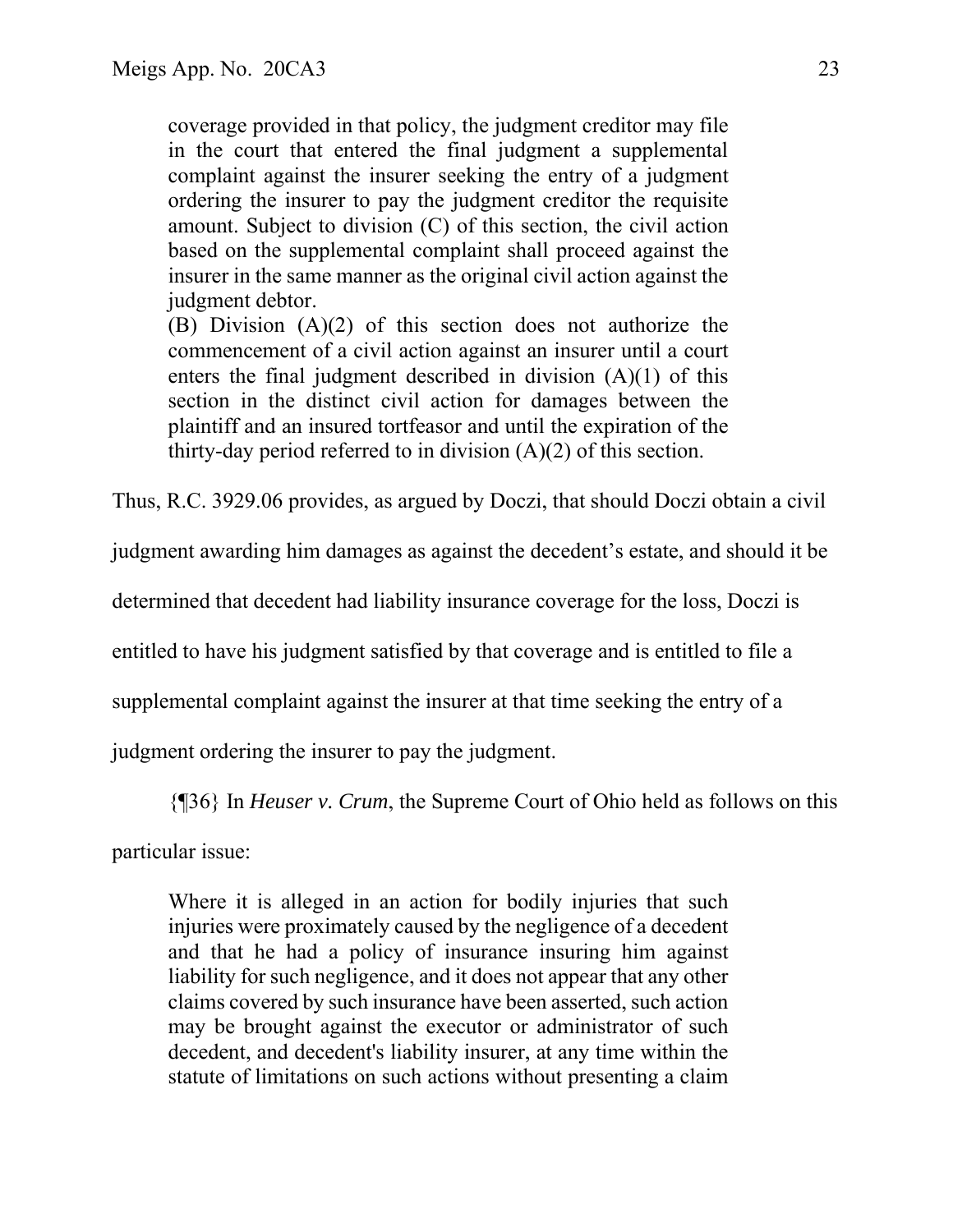coverage provided in that policy, the judgment creditor may file in the court that entered the final judgment a supplemental complaint against the insurer seeking the entry of a judgment ordering the insurer to pay the judgment creditor the requisite amount. Subject to division (C) of this section, the civil action based on the supplemental complaint shall proceed against the insurer in the same manner as the original civil action against the judgment debtor.

(B) Division (A)(2) of this section does not authorize the commencement of a civil action against an insurer until a court enters the final judgment described in division  $(A)(1)$  of this section in the distinct civil action for damages between the plaintiff and an insured tortfeasor and until the expiration of the thirty-day period referred to in division (A)(2) of this section.

Thus, R.C. 3929.06 provides, as argued by Doczi, that should Doczi obtain a civil

judgment awarding him damages as against the decedent's estate, and should it be

determined that decedent had liability insurance coverage for the loss, Doczi is

entitled to have his judgment satisfied by that coverage and is entitled to file a

supplemental complaint against the insurer at that time seeking the entry of a

judgment ordering the insurer to pay the judgment.

{¶36} In *Heuser v. Crum*, the Supreme Court of Ohio held as follows on this

particular issue:

Where it is alleged in an action for bodily injuries that such injuries were proximately caused by the negligence of a decedent and that he had a policy of insurance insuring him against liability for such negligence, and it does not appear that any other claims covered by such insurance have been asserted, such action may be brought against the executor or administrator of such decedent, and decedent's liability insurer, at any time within the statute of limitations on such actions without presenting a claim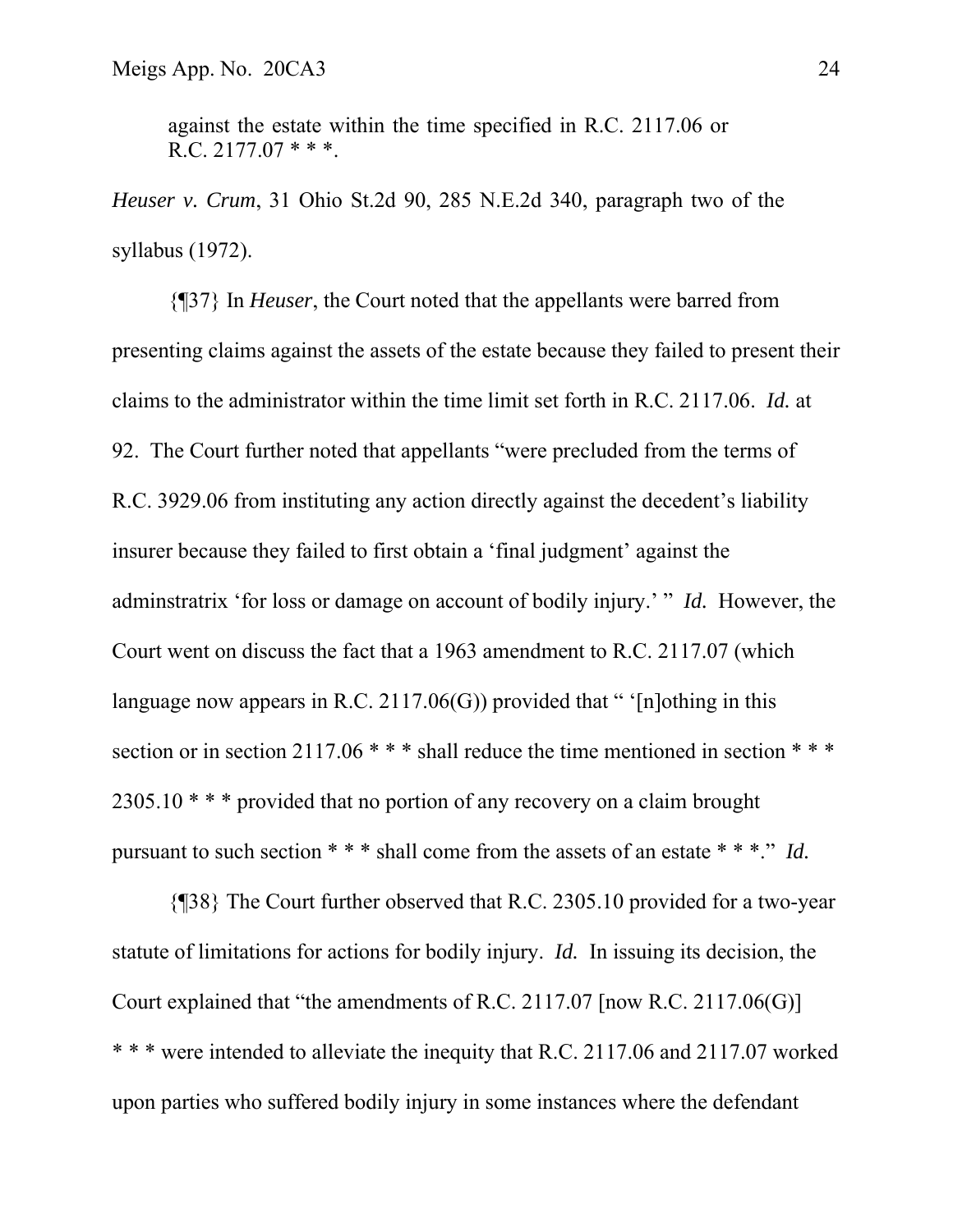against the estate within the time specified in R.C. 2117.06 or R.C.  $2177.07$  \* \* \*.

*Heuser v. Crum*, 31 Ohio St.2d 90, 285 N.E.2d 340, paragraph two of the syllabus (1972).

 {¶37} In *Heuser*, the Court noted that the appellants were barred from presenting claims against the assets of the estate because they failed to present their claims to the administrator within the time limit set forth in R.C. 2117.06. *Id.* at 92. The Court further noted that appellants "were precluded from the terms of R.C. 3929.06 from instituting any action directly against the decedent's liability insurer because they failed to first obtain a 'final judgment' against the adminstratrix 'for loss or damage on account of bodily injury.' " *Id.* However, the Court went on discuss the fact that a 1963 amendment to R.C. 2117.07 (which language now appears in R.C. 2117.06(G)) provided that " '[n]othing in this section or in section 2117.06 \* \* \* shall reduce the time mentioned in section \* \* \* 2305.10 \* \* \* provided that no portion of any recovery on a claim brought pursuant to such section \* \* \* shall come from the assets of an estate \* \* \*." *Id.*

 {¶38} The Court further observed that R.C. 2305.10 provided for a two-year statute of limitations for actions for bodily injury. *Id.* In issuing its decision, the Court explained that "the amendments of R.C. 2117.07 [now R.C. 2117.06(G)] \* \* \* were intended to alleviate the inequity that R.C. 2117.06 and 2117.07 worked upon parties who suffered bodily injury in some instances where the defendant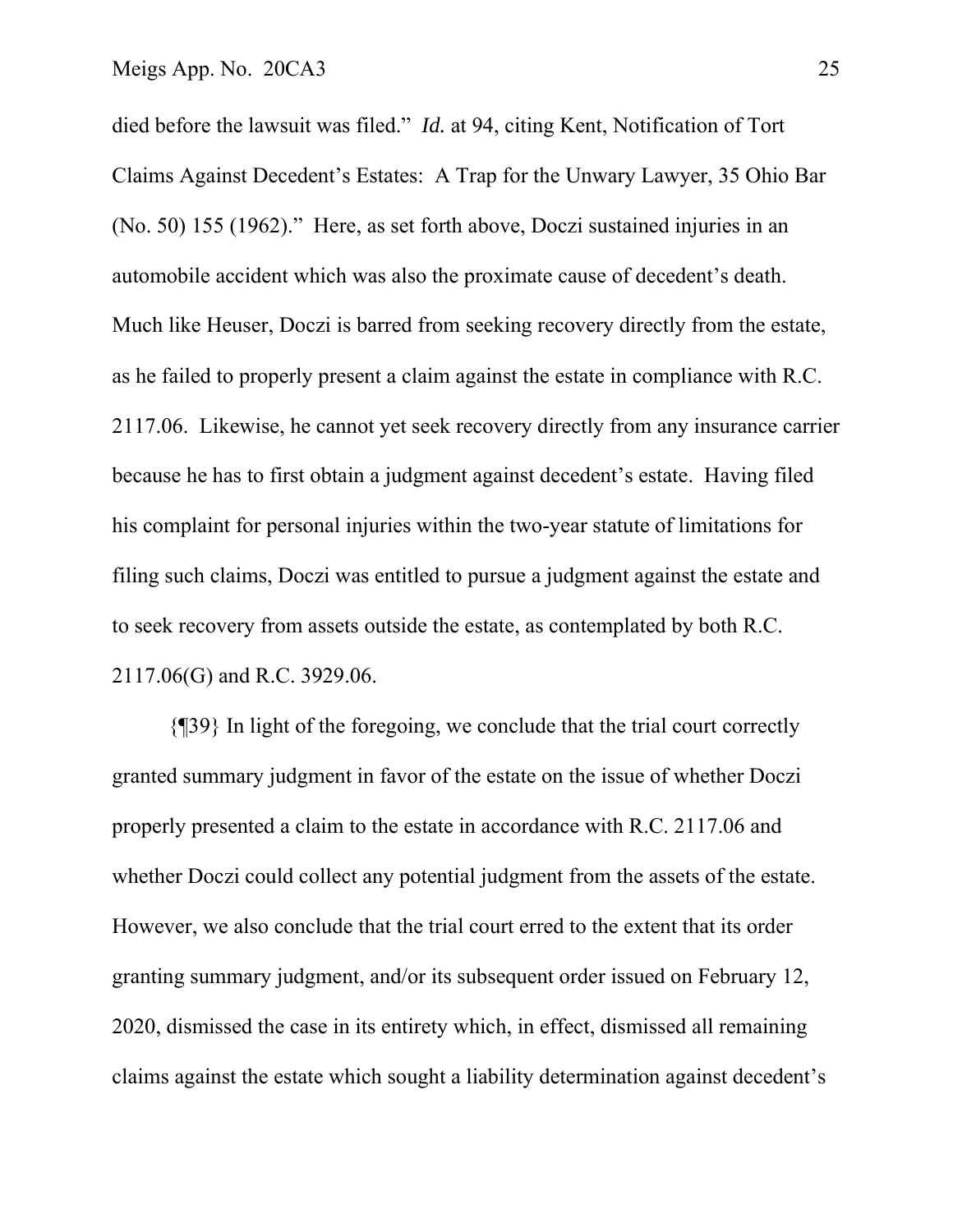died before the lawsuit was filed." *Id.* at 94, citing Kent, Notification of Tort Claims Against Decedent's Estates: A Trap for the Unwary Lawyer, 35 Ohio Bar (No. 50) 155 (1962)." Here, as set forth above, Doczi sustained injuries in an automobile accident which was also the proximate cause of decedent's death. Much like Heuser, Doczi is barred from seeking recovery directly from the estate, as he failed to properly present a claim against the estate in compliance with R.C. 2117.06. Likewise, he cannot yet seek recovery directly from any insurance carrier because he has to first obtain a judgment against decedent's estate. Having filed his complaint for personal injuries within the two-year statute of limitations for filing such claims, Doczi was entitled to pursue a judgment against the estate and to seek recovery from assets outside the estate, as contemplated by both R.C. 2117.06(G) and R.C. 3929.06.

 {¶39} In light of the foregoing, we conclude that the trial court correctly granted summary judgment in favor of the estate on the issue of whether Doczi properly presented a claim to the estate in accordance with R.C. 2117.06 and whether Doczi could collect any potential judgment from the assets of the estate. However, we also conclude that the trial court erred to the extent that its order granting summary judgment, and/or its subsequent order issued on February 12, 2020, dismissed the case in its entirety which, in effect, dismissed all remaining claims against the estate which sought a liability determination against decedent's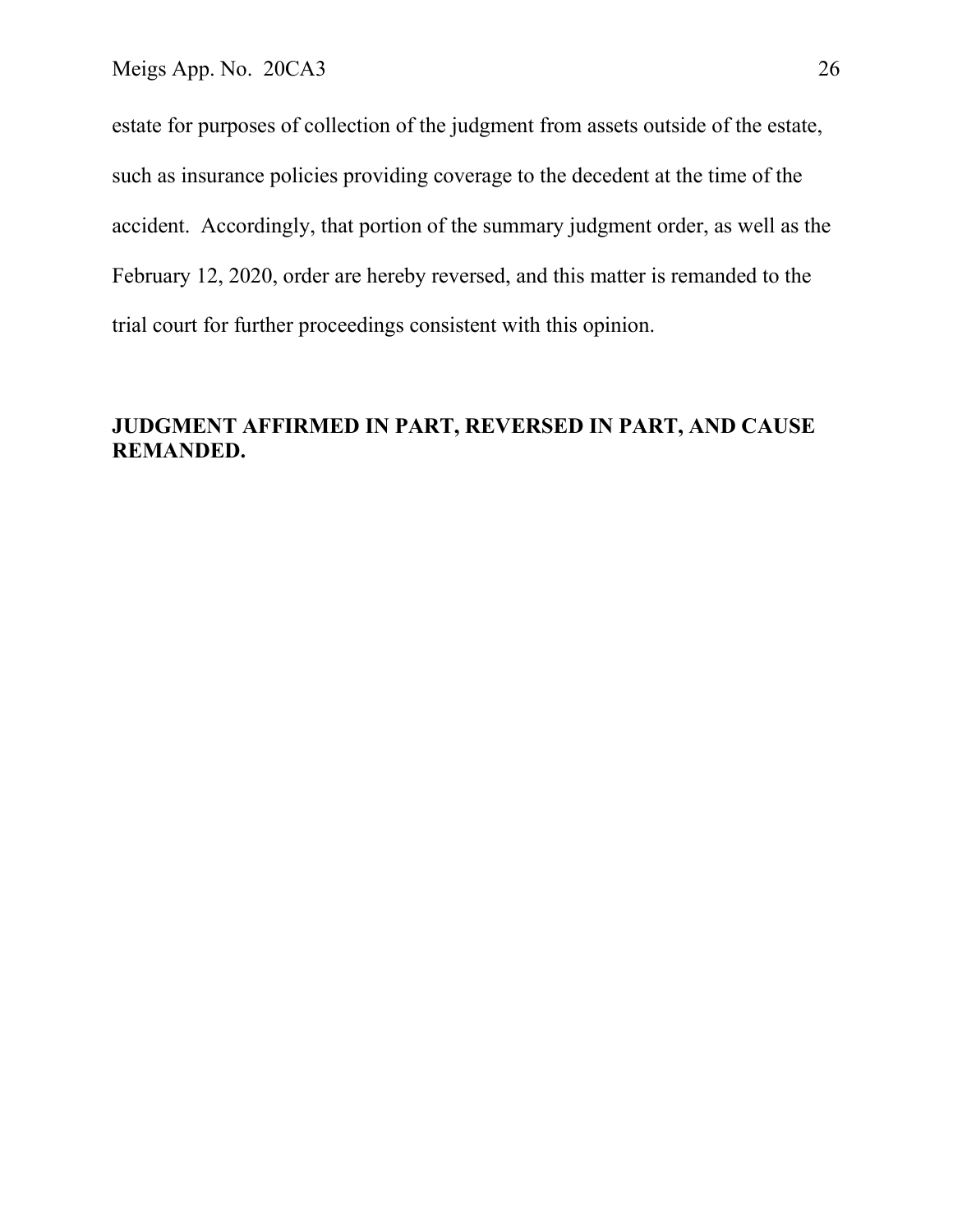estate for purposes of collection of the judgment from assets outside of the estate, such as insurance policies providing coverage to the decedent at the time of the accident. Accordingly, that portion of the summary judgment order, as well as the February 12, 2020, order are hereby reversed, and this matter is remanded to the trial court for further proceedings consistent with this opinion.

## **JUDGMENT AFFIRMED IN PART, REVERSED IN PART, AND CAUSE REMANDED.**